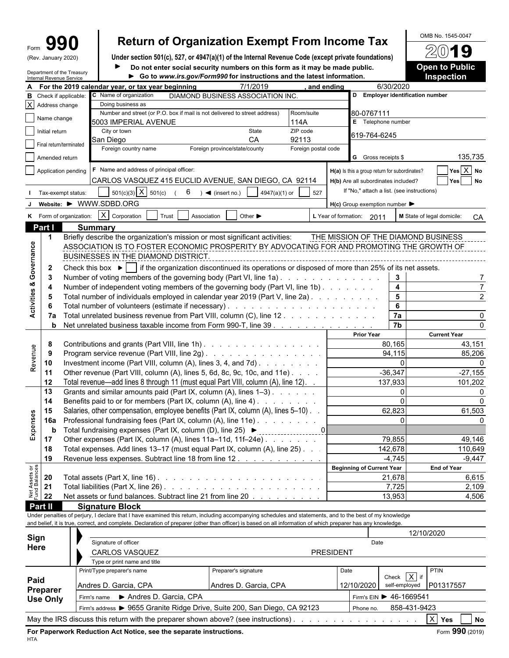| m  |               |
|----|---------------|
| ״י | January 2020) |

# Form  $\mathbf{990}$  **Return of Organization Exempt From Income Tax**  $\frac{600 \text{ B No. }1545-0047}{20}$

(Rev. January 2020) **Under section 501(c), 527, or 4947(a)(1) of the Internal Revenue Code (except private foundations) Do not enter social security numbers on this form as it may be made public. <b>Open to Public**  $\blacktriangleright$ 

|                                | Internal Revenue Service | Department of the Treasury |                                                                                                                                                              | Go to www.irs.gov/Form990 for instructions and the latest information. |                                            |               |                     |                  |                                                                                   |                         | Inspection                          |
|--------------------------------|--------------------------|----------------------------|--------------------------------------------------------------------------------------------------------------------------------------------------------------|------------------------------------------------------------------------|--------------------------------------------|---------------|---------------------|------------------|-----------------------------------------------------------------------------------|-------------------------|-------------------------------------|
|                                |                          |                            | For the 2019 calendar year, or tax year beginning                                                                                                            |                                                                        | 7/1/2019                                   |               | and ending          |                  |                                                                                   | 6/30/2020               |                                     |
| В                              |                          | Check if applicable:       | C Name of organization                                                                                                                                       |                                                                        | DIAMOND BUSINESS ASSOCIATION INC.          |               |                     |                  | D Employer identification number                                                  |                         |                                     |
|                                | X Address change         |                            | Doing business as                                                                                                                                            |                                                                        |                                            |               |                     |                  |                                                                                   |                         |                                     |
|                                | Name change              |                            | Number and street (or P.O. box if mail is not delivered to street address)                                                                                   |                                                                        |                                            |               | Room/suite          |                  | 80-0767111                                                                        |                         |                                     |
|                                |                          |                            | 5003 IMPERIAL AVENUE                                                                                                                                         |                                                                        |                                            |               | 114A                |                  | E Telephone number                                                                |                         |                                     |
|                                | Initial return           |                            | City or town<br>San Diego                                                                                                                                    |                                                                        | State<br>CA                                |               | ZIP code<br>92113   |                  | 619-764-6245                                                                      |                         |                                     |
|                                | Final return/terminated  |                            | Foreign country name                                                                                                                                         |                                                                        | Foreign province/state/county              |               | Foreign postal code |                  |                                                                                   |                         |                                     |
|                                | Amended return           |                            |                                                                                                                                                              |                                                                        |                                            |               |                     |                  | G Gross receipts \$                                                               |                         | 135,735                             |
|                                |                          |                            | F Name and address of principal officer:                                                                                                                     |                                                                        |                                            |               |                     |                  |                                                                                   |                         | Yes X No                            |
|                                |                          | Application pending        | CARLOS VASQUEZ 415 EUCLID AVENUE, SAN DIEGO, CA 92114                                                                                                        |                                                                        |                                            |               |                     |                  | H(a) Is this a group return for subordinates?                                     |                         |                                     |
|                                |                          |                            |                                                                                                                                                              |                                                                        |                                            |               |                     |                  | H(b) Are all subordinates included?<br>If "No," attach a list. (see instructions) |                         | Yes<br>No                           |
|                                |                          | Tax-exempt status:         | $501(c)(3)$ X $501(c)$                                                                                                                                       | 6                                                                      | $\bullet$ (insert no.)                     | 4947(a)(1) or | 527                 |                  |                                                                                   |                         |                                     |
|                                |                          |                            | Website: ▶ WWW.SDBD.ORG                                                                                                                                      |                                                                        |                                            |               |                     |                  | $H(c)$ Group exemption number $\blacktriangleright$                               |                         |                                     |
|                                |                          | K Form of organization:    | $X$ Corporation                                                                                                                                              | Trust                                                                  | Association<br>Other $\blacktriangleright$ |               |                     |                  | L Year of formation: 2011                                                         |                         | M State of legal domicile:<br>CA    |
|                                | Part I                   |                            | <b>Summary</b>                                                                                                                                               |                                                                        |                                            |               |                     |                  |                                                                                   |                         |                                     |
|                                | $\mathbf 1$              |                            | Briefly describe the organization's mission or most significant activities:                                                                                  |                                                                        |                                            |               |                     |                  |                                                                                   |                         | THE MISSION OF THE DIAMOND BUSINESS |
|                                |                          |                            | ASSOCIATION IS TO FOSTER ECONOMIC PROSPERITY BY ADVOCATING FOR AND PROMOTING THE GROWTH OF                                                                   |                                                                        |                                            |               |                     |                  |                                                                                   |                         |                                     |
| Activities & Governance        |                          |                            | BUSINESSES IN THE DIAMOND DISTRICT.                                                                                                                          |                                                                        |                                            |               |                     |                  |                                                                                   |                         |                                     |
|                                | $\mathbf{2}$             |                            | Check this box $\blacktriangleright$   if the organization discontinued its operations or disposed of more than 25% of its net assets.                       |                                                                        |                                            |               |                     |                  |                                                                                   |                         |                                     |
|                                | -3                       |                            | Number of voting members of the governing body (Part VI, line 1a)                                                                                            |                                                                        |                                            |               |                     |                  |                                                                                   | 3                       |                                     |
|                                | 4                        |                            | Number of independent voting members of the governing body (Part VI, line 1b)                                                                                |                                                                        |                                            |               |                     |                  |                                                                                   | $\overline{\mathbf{4}}$ |                                     |
|                                | 5                        |                            | Total number of individuals employed in calendar year 2019 (Part V, line 2a).                                                                                |                                                                        |                                            |               |                     |                  |                                                                                   | $5\phantom{a}$          |                                     |
|                                | 6                        |                            |                                                                                                                                                              |                                                                        |                                            |               |                     |                  |                                                                                   | 6                       |                                     |
|                                | 7а                       |                            | Total unrelated business revenue from Part VIII, column (C), line 12.                                                                                        |                                                                        |                                            |               |                     |                  |                                                                                   | 7a                      |                                     |
|                                | b                        |                            | Net unrelated business taxable income from Form 990-T, line 39                                                                                               |                                                                        |                                            |               |                     |                  |                                                                                   | $\overline{7b}$         |                                     |
|                                |                          |                            |                                                                                                                                                              |                                                                        |                                            |               |                     |                  | <b>Prior Year</b>                                                                 |                         | <b>Current Year</b>                 |
|                                | 8                        |                            | Contributions and grants (Part VIII, line 1h)                                                                                                                |                                                                        |                                            |               |                     |                  |                                                                                   | 80,165                  | 43,151                              |
| Revenue                        | -9                       |                            | Program service revenue (Part VIII, line 2g)                                                                                                                 |                                                                        |                                            |               |                     |                  |                                                                                   | 94,115                  | 85,206                              |
|                                | 10                       |                            | Investment income (Part VIII, column (A), lines 3, 4, and 7d).                                                                                               |                                                                        |                                            |               |                     |                  |                                                                                   | $\Omega$                | $\Omega$                            |
|                                | 11                       |                            | Other revenue (Part VIII, column (A), lines 5, 6d, 8c, 9c, 10c, and 11e)                                                                                     |                                                                        |                                            |               |                     |                  |                                                                                   | $-36,347$               | $-27,155$                           |
|                                | 12                       |                            | Total revenue—add lines 8 through 11 (must equal Part VIII, column (A), line 12). .                                                                          |                                                                        |                                            |               |                     |                  |                                                                                   | 137,933                 | 101,202                             |
|                                | 13                       |                            | Grants and similar amounts paid (Part IX, column (A), lines 1-3)                                                                                             |                                                                        |                                            |               |                     |                  |                                                                                   | $\Omega$                |                                     |
|                                | 14                       |                            | Benefits paid to or for members (Part IX, column (A), line 4)                                                                                                |                                                                        |                                            |               |                     |                  |                                                                                   | $\Omega$                |                                     |
|                                | 15                       |                            | Salaries, other compensation, employee benefits (Part IX, column (A), lines 5-10).                                                                           |                                                                        |                                            |               |                     |                  |                                                                                   | 62,823                  | 61,503                              |
| Expenses                       | 16a                      |                            | Professional fundraising fees (Part IX, column (A), line 11e)                                                                                                |                                                                        |                                            |               |                     |                  |                                                                                   | $\Omega$                |                                     |
|                                | b                        |                            | Total fundraising expenses (Part IX, column (D), line 25) ▶                                                                                                  |                                                                        |                                            |               |                     |                  |                                                                                   |                         |                                     |
|                                | 17                       |                            | Other expenses (Part IX, column (A), lines 11a-11d, 11f-24e)                                                                                                 |                                                                        |                                            |               |                     |                  |                                                                                   | 79,855                  | 49.146                              |
|                                | 18                       |                            | Total expenses. Add lines 13-17 (must equal Part IX, column (A), line 25). .                                                                                 |                                                                        |                                            |               |                     |                  |                                                                                   | 142,678                 | 110,649                             |
|                                | 19                       |                            | Revenue less expenses. Subtract line 18 from line 12.                                                                                                        |                                                                        |                                            |               |                     |                  |                                                                                   | $-4,745$                | $-9,447$                            |
|                                |                          |                            |                                                                                                                                                              |                                                                        |                                            |               |                     |                  | <b>Beginning of Current Year</b>                                                  |                         | <b>End of Year</b>                  |
|                                | 20                       |                            |                                                                                                                                                              |                                                                        |                                            |               |                     |                  |                                                                                   | 21,678                  | 6,615                               |
|                                | 21                       |                            |                                                                                                                                                              |                                                                        |                                            |               |                     |                  |                                                                                   | 7,725                   | 2,109                               |
| Net Assets or<br>Fund Balances | 22                       |                            | Net assets or fund balances. Subtract line 21 from line 20                                                                                                   |                                                                        |                                            |               |                     |                  |                                                                                   | 13,953                  | 4,506                               |
|                                | Part II                  |                            | <b>Signature Block</b>                                                                                                                                       |                                                                        |                                            |               |                     |                  |                                                                                   |                         |                                     |
|                                |                          |                            | Under penalties of perjury, I declare that I have examined this return, including accompanying schedules and statements, and to the best of my knowledge     |                                                                        |                                            |               |                     |                  |                                                                                   |                         |                                     |
|                                |                          |                            | and belief, it is true, correct, and complete. Declaration of preparer (other than officer) is based on all information of which preparer has any knowledge. |                                                                        |                                            |               |                     |                  |                                                                                   |                         |                                     |
|                                |                          |                            |                                                                                                                                                              |                                                                        |                                            |               |                     |                  |                                                                                   |                         | 12/10/2020                          |
|                                | Sign                     |                            | Signature of officer                                                                                                                                         |                                                                        |                                            |               |                     |                  | Date                                                                              |                         |                                     |
|                                | Here                     |                            | CARLOS VASQUEZ                                                                                                                                               |                                                                        |                                            |               |                     | <b>PRESIDENT</b> |                                                                                   |                         |                                     |
|                                |                          |                            | Type or print name and title                                                                                                                                 |                                                                        |                                            |               |                     |                  |                                                                                   |                         |                                     |
|                                |                          |                            | Print/Type preparer's name                                                                                                                                   |                                                                        | Preparer's signature                       |               |                     | Date             |                                                                                   |                         | PTIN                                |
| Paid                           |                          |                            |                                                                                                                                                              |                                                                        |                                            |               |                     |                  |                                                                                   | Check $\overline{X}$ if |                                     |
|                                | Preparer                 |                            | Andres D. Garcia, CPA                                                                                                                                        |                                                                        | Andres D. Garcia, CPA                      |               |                     |                  | 12/10/2020                                                                        | self-employed           | P01317557                           |
|                                | <b>Use Only</b>          |                            | Firm's name                                                                                                                                                  | Andres D. Garcia, CPA                                                  |                                            |               |                     |                  | Firm's EIN > 46-1669541                                                           |                         |                                     |
|                                |                          |                            | Firm's address ▶ 9655 Granite Ridge Drive, Suite 200, San Diego, CA 92123                                                                                    |                                                                        |                                            |               |                     |                  | Phone no.                                                                         | 858-431-9423            |                                     |

May the IRS discuss this return with the preparer shown above? (see instructions) . . . . . . . . . . . . . . . . . . . . . . . . . . . . . . . . . . . . . . . . . X **Yes No**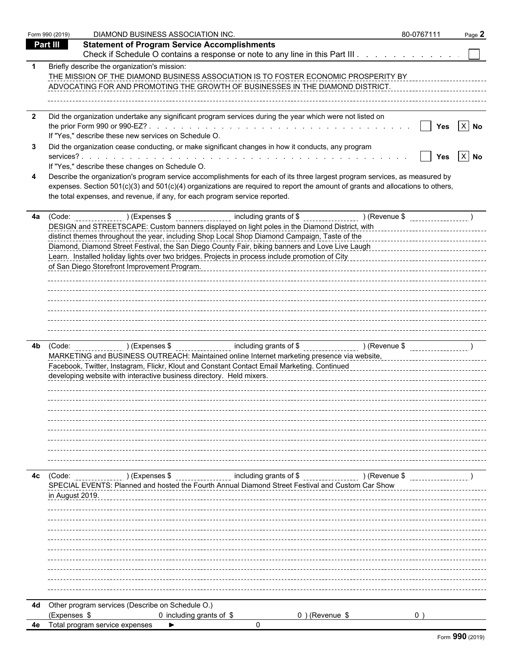|              | Form 990 (2019) | DIAMOND BUSINESS ASSOCIATION INC.                                                                                                                                                                                                                                                                                                           | 80-0767111 | Page 2 |
|--------------|-----------------|---------------------------------------------------------------------------------------------------------------------------------------------------------------------------------------------------------------------------------------------------------------------------------------------------------------------------------------------|------------|--------|
|              | Part III        | <b>Statement of Program Service Accomplishments</b>                                                                                                                                                                                                                                                                                         |            |        |
|              |                 | Check if Schedule O contains a response or note to any line in this Part III                                                                                                                                                                                                                                                                |            |        |
|              |                 | Briefly describe the organization's mission:<br>THE MISSION OF THE DIAMOND BUSINESS ASSOCIATION IS TO FOSTER ECONOMIC PROSPERITY BY<br>ADVOCATING FOR AND PROMOTING THE GROWTH OF BUSINESSES IN THE DIAMOND DISTRICT.                                                                                                                       |            |        |
| $\mathbf{2}$ |                 | Did the organization undertake any significant program services during the year which were not listed on                                                                                                                                                                                                                                    |            |        |
|              |                 | If "Yes," describe these new services on Schedule O.                                                                                                                                                                                                                                                                                        | <b>Yes</b> | $X$ No |
|              |                 | Did the organization cease conducting, or make significant changes in how it conducts, any program                                                                                                                                                                                                                                          |            |        |
|              |                 |                                                                                                                                                                                                                                                                                                                                             | Yes        | $X$ No |
|              |                 | If "Yes," describe these changes on Schedule O.                                                                                                                                                                                                                                                                                             |            |        |
|              |                 | Describe the organization's program service accomplishments for each of its three largest program services, as measured by<br>expenses. Section 501(c)(3) and 501(c)(4) organizations are required to report the amount of grants and allocations to others,<br>the total expenses, and revenue, if any, for each program service reported. |            |        |
| 4a           |                 | (Code: ) (Expenses \$ including grants of \$ [1,15] (Revenue \$ 1,15] (Revenue \$ 1,15] (Expenses \$                                                                                                                                                                                                                                        |            |        |
|              |                 | DESIGN and STREETSCAPE: Custom banners displayed on light poles in the Diamond District, with                                                                                                                                                                                                                                               |            |        |
|              |                 | distinct themes throughout the year, including Shop Local Shop Diamond Campaign, Taste of the                                                                                                                                                                                                                                               |            |        |
|              |                 | Diamond, Diamond Street Festival, the San Diego County Fair, biking banners and Love Live Laugh                                                                                                                                                                                                                                             |            |        |
|              |                 | of San Diego Storefront Improvement Program.                                                                                                                                                                                                                                                                                                |            |        |
|              |                 |                                                                                                                                                                                                                                                                                                                                             |            |        |
|              |                 |                                                                                                                                                                                                                                                                                                                                             |            |        |
|              |                 |                                                                                                                                                                                                                                                                                                                                             |            |        |
|              |                 |                                                                                                                                                                                                                                                                                                                                             |            |        |
|              |                 |                                                                                                                                                                                                                                                                                                                                             |            |        |
|              |                 |                                                                                                                                                                                                                                                                                                                                             |            |        |
| 4b           |                 |                                                                                                                                                                                                                                                                                                                                             |            |        |
|              |                 | MARKETING and BUSINESS OUTREACH: Maintained online Internet marketing presence via website, encontantly reserve than<br>Facebook, Twitter, Instagram, Flickr, Klout and Constant Contact Email Marketing. Continued<br>Facebook, Twitter, Instagram, Flickr, Klout and Constant Contact Email Marketing. Continued                          |            |        |
|              |                 | developing website with interactive business directory. Held mixers. [11] research continuous-continuous-continuous-                                                                                                                                                                                                                        |            |        |
|              |                 |                                                                                                                                                                                                                                                                                                                                             |            |        |
|              |                 |                                                                                                                                                                                                                                                                                                                                             |            |        |
|              |                 |                                                                                                                                                                                                                                                                                                                                             |            |        |
|              |                 |                                                                                                                                                                                                                                                                                                                                             |            |        |
|              |                 |                                                                                                                                                                                                                                                                                                                                             |            |        |
|              |                 |                                                                                                                                                                                                                                                                                                                                             |            |        |
|              |                 |                                                                                                                                                                                                                                                                                                                                             |            |        |
| 4c           | (Code:          | Let a CR and CR (Revenue Section 20) (Revenue \$ (Expenses 20) (Revenue \$                                                                                                                                                                                                                                                                  |            |        |
|              |                 | SPECIAL EVENTS: Planned and hosted the Fourth Annual Diamond Street Festival and Custom Car Show                                                                                                                                                                                                                                            |            |        |
|              | in August 2019. |                                                                                                                                                                                                                                                                                                                                             |            |        |
|              |                 |                                                                                                                                                                                                                                                                                                                                             |            |        |
|              |                 |                                                                                                                                                                                                                                                                                                                                             |            |        |
|              |                 |                                                                                                                                                                                                                                                                                                                                             |            |        |
|              |                 |                                                                                                                                                                                                                                                                                                                                             |            |        |
|              |                 |                                                                                                                                                                                                                                                                                                                                             |            |        |
|              |                 |                                                                                                                                                                                                                                                                                                                                             |            |        |
|              |                 |                                                                                                                                                                                                                                                                                                                                             |            |        |
|              |                 |                                                                                                                                                                                                                                                                                                                                             |            |        |
| 4d           | (Expenses \$    | Other program services (Describe on Schedule O.)<br>$0$ ) (Revenue \$<br>0 including grants of \$                                                                                                                                                                                                                                           |            |        |
| 4e           |                 | Total program service expenses<br>$\Omega$                                                                                                                                                                                                                                                                                                  |            |        |
|              |                 |                                                                                                                                                                                                                                                                                                                                             |            |        |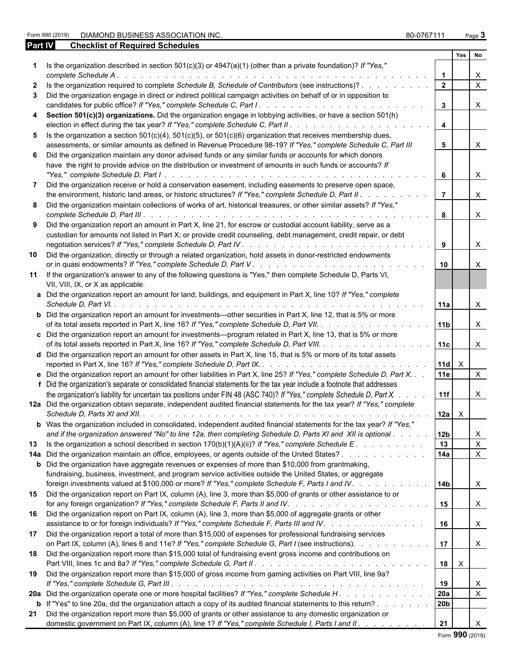Form 990 (2019) DIAMOND BUSINESS ASSOCIATION INC. 80-0767111 Page **3**

| <b>Part IV</b> | <b>Checklist of Required Schedules</b>                                                                                                                                                                                                                                                                                                                                                   |                 |              |                           |
|----------------|------------------------------------------------------------------------------------------------------------------------------------------------------------------------------------------------------------------------------------------------------------------------------------------------------------------------------------------------------------------------------------------|-----------------|--------------|---------------------------|
|                |                                                                                                                                                                                                                                                                                                                                                                                          |                 | Yes          | No                        |
|                | 1 Is the organization described in section $501(c)(3)$ or $4947(a)(1)$ (other than a private foundation)? If "Yes,"<br>complete Schedule A.<br>the contract of the contract of the contract of the contract of the contract of the contract of the contract of                                                                                                                           |                 |              | X.                        |
|                | Is the organization required to complete Schedule B, Schedule of Contributors (see instructions)?                                                                                                                                                                                                                                                                                        | $\overline{2}$  |              | $\mathsf{X}$              |
|                | Did the organization engage in direct or indirect political campaign activities on behalf of or in opposition to                                                                                                                                                                                                                                                                         |                 |              |                           |
|                | candidates for public office? If "Yes," complete Schedule C, Part I. .                                                                                                                                                                                                                                                                                                                   | $\mathbf{3}$    |              | $\mathsf{X}$              |
|                |                                                                                                                                                                                                                                                                                                                                                                                          |                 |              |                           |
|                | Section 501(c)(3) organizations. Did the organization engage in lobbying activities, or have a section 501(h)                                                                                                                                                                                                                                                                            | $\overline{4}$  |              |                           |
|                | 5 Is the organization a section $501(c)(4)$ , $501(c)(5)$ , or $501(c)(6)$ organization that receives membership dues,                                                                                                                                                                                                                                                                   |                 |              |                           |
|                | assessments, or similar amounts as defined in Revenue Procedure 98-19? If "Yes," complete Schedule C, Part III                                                                                                                                                                                                                                                                           | 5               |              | X                         |
|                | Did the organization maintain any donor advised funds or any similar funds or accounts for which donors                                                                                                                                                                                                                                                                                  |                 |              |                           |
|                | have the right to provide advice on the distribution or investment of amounts in such funds or accounts? If<br>"Yes," complete Schedule D, Part I.<br>$\mathcal{L}$ . The state of the state of the state of the state of the state of the state of the state of the state of the state of the state of the state of the state of the state of the state of the state of the state of th | 6               |              | $\mathsf{X}$              |
|                | Did the organization receive or hold a conservation easement, including easements to preserve open space,                                                                                                                                                                                                                                                                                |                 |              |                           |
|                | the environment, historic land areas, or historic structures? If "Yes," complete Schedule D, Part II.                                                                                                                                                                                                                                                                                    | $\overline{7}$  |              | $\times$                  |
|                |                                                                                                                                                                                                                                                                                                                                                                                          |                 |              |                           |
|                | Did the organization maintain collections of works of art, historical treasures, or other similar assets? If "Yes,"<br>complete Schedule D, Part III.<br>the contract of the contract of the contract of the contract of the contract of the contract of the contract of the contract of the contract of the contract of the contract of the contract of the contract of the contract o  | 8               |              | $\mathsf{X}$              |
|                | 9 Did the organization report an amount in Part X, line 21, for escrow or custodial account liability, serve as a                                                                                                                                                                                                                                                                        |                 |              |                           |
|                | custodian for amounts not listed in Part X; or provide credit counseling, debt management, credit repair, or debt                                                                                                                                                                                                                                                                        |                 |              |                           |
|                |                                                                                                                                                                                                                                                                                                                                                                                          | 9               |              | $\mathsf{X}$              |
|                | 10 Did the organization, directly or through a related organization, hold assets in donor-restricted endowments                                                                                                                                                                                                                                                                          |                 |              |                           |
|                |                                                                                                                                                                                                                                                                                                                                                                                          | 10              |              | $\boldsymbol{\mathsf{X}}$ |
|                | 11 If the organization's answer to any of the following questions is "Yes," then complete Schedule D, Parts VI,                                                                                                                                                                                                                                                                          |                 |              |                           |
|                | VII, VIII, IX, or X as applicable.                                                                                                                                                                                                                                                                                                                                                       |                 |              |                           |
|                | a Did the organization report an amount for land, buildings, and equipment in Part X, line 10? If "Yes," complete                                                                                                                                                                                                                                                                        | 11a             |              | $\times$                  |
|                | <b>b</b> Did the organization report an amount for investments—other securities in Part X, line 12, that is 5% or more                                                                                                                                                                                                                                                                   |                 |              |                           |
|                | of its total assets reported in Part X, line 16? If "Yes," complete Schedule D, Part VII.                                                                                                                                                                                                                                                                                                | 11 <sub>1</sub> |              | $\mathsf{X}$              |
|                | c Did the organization report an amount for investments—program related in Part X, line 13, that is 5% or more                                                                                                                                                                                                                                                                           |                 |              |                           |
|                | of its total assets reported in Part X, line 16? If "Yes," complete Schedule D, Part VIII.                                                                                                                                                                                                                                                                                               | 11c             |              | $\mathsf{X}$              |
|                | d Did the organization report an amount for other assets in Part X, line 15, that is 5% or more of its total assets                                                                                                                                                                                                                                                                      |                 |              |                           |
|                |                                                                                                                                                                                                                                                                                                                                                                                          | $11d \times$    |              |                           |
|                | e Did the organization report an amount for other liabilities in Part X, line 25? If "Yes," complete Schedule D, Part X.                                                                                                                                                                                                                                                                 | 11e             |              | $\mathsf{X}$              |
|                | f Did the organization's separate or consolidated financial statements for the tax year include a footnote that addresses                                                                                                                                                                                                                                                                |                 |              |                           |
|                |                                                                                                                                                                                                                                                                                                                                                                                          | 11f             |              |                           |
|                | the organization's liability for uncertain tax positions under FIN 48 (ASC 740)? If "Yes," complete Schedule D, Part X.                                                                                                                                                                                                                                                                  |                 |              | $\mathsf{X}$              |
|                | 12a Did the organization obtain separate, independent audited financial statements for the tax year? If "Yes," complete                                                                                                                                                                                                                                                                  |                 |              |                           |
|                |                                                                                                                                                                                                                                                                                                                                                                                          | $12a \times$    |              |                           |
|                | b Was the organization included in consolidated, independent audited financial statements for the tax year? If "Yes,"                                                                                                                                                                                                                                                                    |                 |              |                           |
|                | and if the organization answered "No" to line 12a, then completing Schedule D, Parts XI and XII is optional                                                                                                                                                                                                                                                                              | 12b             |              | X                         |
|                |                                                                                                                                                                                                                                                                                                                                                                                          | 13              |              | $\mathsf{X}$              |
|                | 14a Did the organization maintain an office, employees, or agents outside of the United States?                                                                                                                                                                                                                                                                                          | 14a             |              | $\mathsf{X}$              |
|                | <b>b</b> Did the organization have aggregate revenues or expenses of more than \$10,000 from grantmaking,                                                                                                                                                                                                                                                                                |                 |              |                           |
|                |                                                                                                                                                                                                                                                                                                                                                                                          |                 |              |                           |
|                | fundraising, business, investment, and program service activities outside the United States, or aggregate                                                                                                                                                                                                                                                                                |                 |              |                           |
|                | foreign investments valued at \$100,000 or more? If "Yes," complete Schedule F, Parts I and IV.                                                                                                                                                                                                                                                                                          | l 14b           |              | $\mathsf{X}$              |
| 15             | Did the organization report on Part IX, column (A), line 3, more than \$5,000 of grants or other assistance to or                                                                                                                                                                                                                                                                        | 15              |              | X                         |
| 16             | Did the organization report on Part IX, column (A), line 3, more than \$5,000 of aggregate grants or other                                                                                                                                                                                                                                                                               |                 |              |                           |
|                | assistance to or for foreign individuals? If "Yes," complete Schedule F, Parts III and IV.                                                                                                                                                                                                                                                                                               | 16              |              | $\mathsf{X}$              |
| 17             | Did the organization report a total of more than \$15,000 of expenses for professional fundraising services                                                                                                                                                                                                                                                                              |                 |              |                           |
|                | on Part IX, column (A), lines 6 and 11e? If "Yes," complete Schedule G, Part I (see instructions).                                                                                                                                                                                                                                                                                       | 17              |              | $\mathsf{X}$              |
|                |                                                                                                                                                                                                                                                                                                                                                                                          |                 |              |                           |
| 18             | Did the organization report more than \$15,000 total of fundraising event gross income and contributions on                                                                                                                                                                                                                                                                              |                 |              |                           |
|                |                                                                                                                                                                                                                                                                                                                                                                                          | 18              | $\mathsf{X}$ |                           |
|                | 19 Did the organization report more than \$15,000 of gross income from gaming activities on Part VIII, line 9a?                                                                                                                                                                                                                                                                          | 19              |              | X                         |
|                | 20a Did the organization operate one or more hospital facilities? If "Yes," complete Schedule H.                                                                                                                                                                                                                                                                                         | 20a             |              | $\mathsf{X}$              |
|                | <b>b</b> If "Yes" to line 20a, did the organization attach a copy of its audited financial statements to this return?                                                                                                                                                                                                                                                                    | 20b             |              |                           |
|                |                                                                                                                                                                                                                                                                                                                                                                                          |                 |              |                           |

**21** Did the organization report more than \$5,000 of grants or other assistance to any domestic organization or

domestic government on Part IX, column (A), line 1? If "Yes," complete Schedule I, Parts I and II. . . . . . . . . . . | 21 | X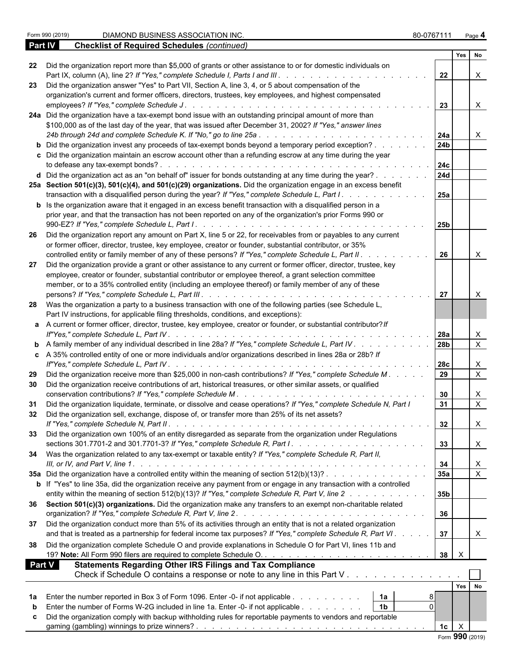|               | <u>Uncernst UI Reguned Ocheddies (Commaca)</u>                                                                              |                |                 |                           |  |
|---------------|-----------------------------------------------------------------------------------------------------------------------------|----------------|-----------------|---------------------------|--|
|               |                                                                                                                             |                | Yes No          |                           |  |
| 22            | Did the organization report more than \$5,000 of grants or other assistance to or for domestic individuals on               | 22             |                 | X                         |  |
| 23            | Did the organization answer "Yes" to Part VII, Section A, line 3, 4, or 5 about compensation of the                         |                |                 |                           |  |
|               | organization's current and former officers, directors, trustees, key employees, and highest compensated                     |                |                 |                           |  |
|               |                                                                                                                             | 23             |                 | $\mathsf{X}$              |  |
|               | 24a Did the organization have a tax-exempt bond issue with an outstanding principal amount of more than                     |                |                 |                           |  |
|               | \$100,000 as of the last day of the year, that was issued after December 31, 2002? If "Yes," answer lines                   |                |                 |                           |  |
|               |                                                                                                                             | 24a            |                 | X                         |  |
|               | <b>b</b> Did the organization invest any proceeds of tax-exempt bonds beyond a temporary period exception?                  | 24b            |                 |                           |  |
|               | c Did the organization maintain an escrow account other than a refunding escrow at any time during the year                 |                |                 |                           |  |
|               |                                                                                                                             | 24c            |                 |                           |  |
|               | d Did the organization act as an "on behalf of" issuer for bonds outstanding at any time during the year?                   | <b>24d</b>     |                 |                           |  |
|               | 25a Section 501(c)(3), 501(c)(4), and 501(c)(29) organizations. Did the organization engage in an excess benefit            |                |                 |                           |  |
|               | transaction with a disqualified person during the year? If "Yes," complete Schedule L, Part I.                              | 25a            |                 |                           |  |
|               | <b>b</b> Is the organization aware that it engaged in an excess benefit transaction with a disqualified person in a         |                |                 |                           |  |
|               | prior year, and that the transaction has not been reported on any of the organization's prior Forms 990 or                  |                |                 |                           |  |
|               |                                                                                                                             | 25b            |                 |                           |  |
|               |                                                                                                                             |                |                 |                           |  |
| -26           | Did the organization report any amount on Part X, line 5 or 22, for receivables from or payables to any current             |                |                 |                           |  |
|               | or former officer, director, trustee, key employee, creator or founder, substantial contributor, or 35%                     |                |                 |                           |  |
|               | controlled entity or family member of any of these persons? If "Yes," complete Schedule L, Part II.                         | 26             |                 | $\boldsymbol{\mathsf{X}}$ |  |
| 27            | Did the organization provide a grant or other assistance to any current or former officer, director, trustee, key           |                |                 |                           |  |
|               | employee, creator or founder, substantial contributor or employee thereof, a grant selection committee                      |                |                 |                           |  |
|               | member, or to a 35% controlled entity (including an employee thereof) or family member of any of these                      |                |                 |                           |  |
|               |                                                                                                                             | 27             |                 | X                         |  |
| 28            | Was the organization a party to a business transaction with one of the following parties (see Schedule L,                   |                |                 |                           |  |
|               | Part IV instructions, for applicable filing thresholds, conditions, and exceptions):                                        |                |                 |                           |  |
|               | a A current or former officer, director, trustee, key employee, creator or founder, or substantial contributor? If          |                |                 |                           |  |
|               |                                                                                                                             | 28a            |                 | $\boldsymbol{\mathsf{X}}$ |  |
|               | <b>b</b> A family member of any individual described in line 28a? If "Yes," complete Schedule L, Part IV                    | 28b            |                 | $\overline{X}$            |  |
|               | c A 35% controlled entity of one or more individuals and/or organizations described in lines 28a or 28b? If                 |                |                 |                           |  |
|               |                                                                                                                             | 28c            |                 | X                         |  |
| 29            | Did the organization receive more than \$25,000 in non-cash contributions? If "Yes," complete Schedule M.                   | 29             |                 | $\mathsf{X}$              |  |
| 30            | Did the organization receive contributions of art, historical treasures, or other similar assets, or qualified              |                |                 |                           |  |
|               |                                                                                                                             | 30             |                 | X                         |  |
| 31            | Did the organization liquidate, terminate, or dissolve and cease operations? If "Yes," complete Schedule N, Part I          | 31             |                 | $\mathsf{X}$              |  |
| 32            | Did the organization sell, exchange, dispose of, or transfer more than 25% of its net assets?                               |                |                 |                           |  |
|               |                                                                                                                             | 32             |                 | $\mathsf{X}$              |  |
| 33            | Did the organization own 100% of an entity disregarded as separate from the organization under Regulations                  |                |                 |                           |  |
|               |                                                                                                                             | 33             |                 | $\boldsymbol{\mathsf{X}}$ |  |
|               | 34 Was the organization related to any tax-exempt or taxable entity? If "Yes," complete Schedule R, Part II,                |                |                 |                           |  |
|               |                                                                                                                             | 34             |                 | $\boldsymbol{X}$          |  |
|               | 35a Did the organization have a controlled entity within the meaning of section 512(b)(13)?                                 | 35a            |                 | $\mathsf X$               |  |
|               | <b>b</b> If "Yes" to line 35a, did the organization receive any payment from or engage in any transaction with a controlled |                |                 |                           |  |
|               | entity within the meaning of section 512(b)(13)? If "Yes," complete Schedule R, Part V, line 2                              | 35b            |                 |                           |  |
|               | 36 Section 501(c)(3) organizations. Did the organization make any transfers to an exempt non-charitable related             |                |                 |                           |  |
|               |                                                                                                                             | 36             |                 |                           |  |
| 37            | Did the organization conduct more than 5% of its activities through an entity that is not a related organization            |                |                 |                           |  |
|               | and that is treated as a partnership for federal income tax purposes? If "Yes," complete Schedule R, Part VI.               | 37             |                 | X                         |  |
| 38            | Did the organization complete Schedule O and provide explanations in Schedule O for Part VI, lines 11b and                  |                |                 |                           |  |
|               |                                                                                                                             | 38             | $\mathsf{X}$    |                           |  |
| <b>Part V</b> | <b>Statements Regarding Other IRS Filings and Tax Compliance</b>                                                            |                |                 |                           |  |
|               | Check if Schedule O contains a response or note to any line in this Part V                                                  |                |                 |                           |  |
|               |                                                                                                                             |                |                 |                           |  |
|               |                                                                                                                             |                | Yes No          |                           |  |
| 1a            | Enter the number reported in Box 3 of Form 1096. Enter -0- if not applicable<br>  1a<br>8                                   |                |                 |                           |  |
| b             | Enter the number of Forms W-2G included in line 1a. Enter -0- if not applicable 1b<br>$\Omega$                              |                |                 |                           |  |
| c             | Did the organization comply with backup withholding rules for reportable payments to vendors and reportable                 |                |                 |                           |  |
|               |                                                                                                                             | 1 <sub>c</sub> | $\mathsf{X}$    |                           |  |
|               |                                                                                                                             |                | Form 990 (2019) |                           |  |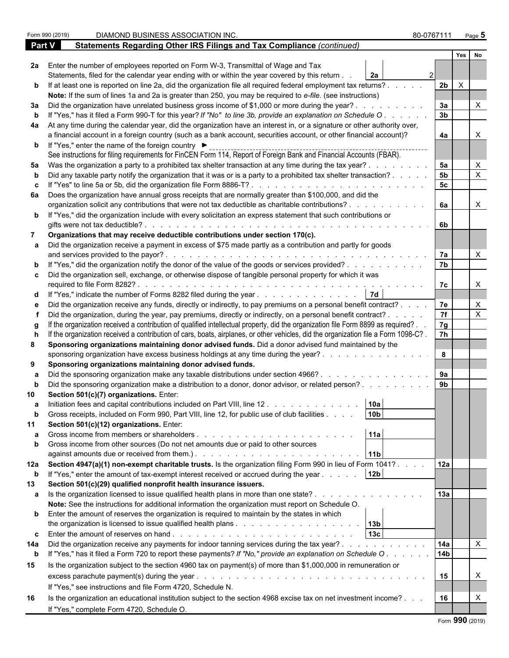|             | DIAMOND BUSINESS ASSOCIATION INC.<br>Form 990 (2019)                                                                                                                                                                           |                                                                                                                | 80-0767111           |              | Page $5$                  |  |
|-------------|--------------------------------------------------------------------------------------------------------------------------------------------------------------------------------------------------------------------------------|----------------------------------------------------------------------------------------------------------------|----------------------|--------------|---------------------------|--|
|             | Statements Regarding Other IRS Filings and Tax Compliance (continued)<br>Part V                                                                                                                                                |                                                                                                                |                      |              |                           |  |
|             |                                                                                                                                                                                                                                |                                                                                                                |                      | Yes          | No                        |  |
|             | 2a Enter the number of employees reported on Form W-3, Transmittal of Wage and Tax                                                                                                                                             |                                                                                                                |                      |              |                           |  |
|             | Statements, filed for the calendar year ending with or within the year covered by this return.                                                                                                                                 | <b>2a</b>                                                                                                      |                      |              |                           |  |
|             | b If at least one is reported on line 2a, did the organization file all required federal employment tax returns?.                                                                                                              |                                                                                                                | 2 <sub>b</sub>       | $\mathsf{X}$ |                           |  |
|             | Note: If the sum of lines 1a and 2a is greater than 250, you may be required to e-file. (see instructions)                                                                                                                     |                                                                                                                |                      |              |                           |  |
|             | 3a Did the organization have unrelated business gross income of \$1,000 or more during the year?.                                                                                                                              |                                                                                                                | 3a                   |              |                           |  |
| b           | If "Yes," has it filed a Form 990-T for this year? If "No" to line 3b, provide an explanation on Schedule O                                                                                                                    |                                                                                                                | 3 <sub>b</sub>       |              |                           |  |
|             | 4a At any time during the calendar year, did the organization have an interest in, or a signature or other authority over,                                                                                                     |                                                                                                                |                      |              |                           |  |
|             | a financial account in a foreign country (such as a bank account, securities account, or other financial account)?                                                                                                             |                                                                                                                | 4a                   |              |                           |  |
|             | <b>b</b> If "Yes," enter the name of the foreign country ▶<br>See instructions for filing requirements for FinCEN Form 114, Report of Foreign Bank and Financial Accounts (FBAR).                                              |                                                                                                                |                      |              |                           |  |
|             | 5a Was the organization a party to a prohibited tax shelter transaction at any time during the tax year?.                                                                                                                      |                                                                                                                | 5a                   |              | X                         |  |
|             | Did any taxable party notify the organization that it was or is a party to a prohibited tax shelter transaction?.                                                                                                              |                                                                                                                | 5 <sub>b</sub>       |              | $\boldsymbol{\mathsf{X}}$ |  |
| c.          | If "Yes" to line 5a or 5b, did the organization file Form 8886-T?                                                                                                                                                              |                                                                                                                | 5c                   |              |                           |  |
|             | 6a Does the organization have annual gross receipts that are normally greater than \$100,000, and did the                                                                                                                      |                                                                                                                |                      |              |                           |  |
|             | organization solicit any contributions that were not tax deductible as charitable contributions?.                                                                                                                              |                                                                                                                | 6a                   |              | X                         |  |
|             | <b>b</b> If "Yes," did the organization include with every solicitation an express statement that such contributions or                                                                                                        |                                                                                                                |                      |              |                           |  |
|             | gifts were not tax deductible?.                                                                                                                                                                                                |                                                                                                                | 6b                   |              |                           |  |
|             | Organizations that may receive deductible contributions under section 170(c).                                                                                                                                                  |                                                                                                                |                      |              |                           |  |
|             | a Did the organization receive a payment in excess of \$75 made partly as a contribution and partly for goods                                                                                                                  |                                                                                                                |                      |              |                           |  |
|             | and services provided to the payor?.                                                                                                                                                                                           | de la caractería de la caractería de la caractería de la caractería                                            | 7a                   |              |                           |  |
|             | b If "Yes," did the organization notify the donor of the value of the goods or services provided?                                                                                                                              |                                                                                                                | 7 <sub>b</sub>       |              |                           |  |
|             | c Did the organization sell, exchange, or otherwise dispose of tangible personal property for which it was                                                                                                                     |                                                                                                                |                      |              |                           |  |
|             | required to file Form 8282?                                                                                                                                                                                                    |                                                                                                                | 7c                   |              | X                         |  |
|             | d If "Yes," indicate the number of Forms 8282 filed during the year                                                                                                                                                            |                                                                                                                |                      |              |                           |  |
|             | Did the organization receive any funds, directly or indirectly, to pay premiums on a personal benefit contract?.                                                                                                               |                                                                                                                | 7e                   |              | X                         |  |
|             | Did the organization, during the year, pay premiums, directly or indirectly, on a personal benefit contract? .                                                                                                                 |                                                                                                                | 7f                   |              | X                         |  |
|             | If the organization received a contribution of qualified intellectual property, did the organization file Form 8899 as required?.                                                                                              |                                                                                                                | 7g                   |              |                           |  |
|             | If the organization received a contribution of cars, boats, airplanes, or other vehicles, did the organization file a Form 1098-C?.                                                                                            |                                                                                                                | $\overline{7h}$      |              |                           |  |
| 8           | Sponsoring organizations maintaining donor advised funds. Did a donor advised fund maintained by the                                                                                                                           |                                                                                                                |                      |              |                           |  |
|             | sponsoring organization have excess business holdings at any time during the year?.                                                                                                                                            |                                                                                                                | 8                    |              |                           |  |
| 9           | Sponsoring organizations maintaining donor advised funds.                                                                                                                                                                      |                                                                                                                |                      |              |                           |  |
|             | Did the sponsoring organization make any taxable distributions under section 4966?.                                                                                                                                            |                                                                                                                | 9a<br>9 <sub>b</sub> |              |                           |  |
|             | Did the sponsoring organization make a distribution to a donor, donor advisor, or related person?                                                                                                                              |                                                                                                                |                      |              |                           |  |
|             | Section 501(c)(7) organizations. Enter:                                                                                                                                                                                        |                                                                                                                |                      |              |                           |  |
| a           | Initiation fees and capital contributions included on Part VIII, line 12.                                                                                                                                                      | 10a<br>10 <sub>b</sub>                                                                                         |                      |              |                           |  |
| 11          | Gross receipts, included on Form 990, Part VIII, line 12, for public use of club facilities<br>Section 501(c)(12) organizations. Enter:                                                                                        |                                                                                                                |                      |              |                           |  |
|             |                                                                                                                                                                                                                                | 11a                                                                                                            |                      |              |                           |  |
| b           | Gross income from other sources (Do not net amounts due or paid to other sources                                                                                                                                               |                                                                                                                |                      |              |                           |  |
|             | against amounts due or received from them.). The subset of the state of the state of the state of the state of the state of the state of the state of the state of the state of the state of the state of the state of the sta | 11 <sub>b</sub>                                                                                                |                      |              |                           |  |
|             | 12a Section 4947(a)(1) non-exempt charitable trusts. Is the organization filing Form 990 in lieu of Form 1041?.                                                                                                                |                                                                                                                | 12a                  |              |                           |  |
| $\mathbf b$ | If "Yes," enter the amount of tax-exempt interest received or accrued during the year                                                                                                                                          | 12 <sub>b</sub>                                                                                                |                      |              |                           |  |
| 13          | Section 501(c)(29) qualified nonprofit health insurance issuers.                                                                                                                                                               |                                                                                                                |                      |              |                           |  |
|             | a Is the organization licensed to issue qualified health plans in more than one state?.                                                                                                                                        |                                                                                                                | 13a                  |              |                           |  |
|             | Note: See the instructions for additional information the organization must report on Schedule O.                                                                                                                              |                                                                                                                |                      |              |                           |  |
|             | <b>b</b> Enter the amount of reserves the organization is required to maintain by the states in which                                                                                                                          |                                                                                                                |                      |              |                           |  |
|             |                                                                                                                                                                                                                                |                                                                                                                |                      |              |                           |  |
|             |                                                                                                                                                                                                                                | 13c                                                                                                            |                      |              |                           |  |
| 14a         | Did the organization receive any payments for indoor tanning services during the tax year?                                                                                                                                     |                                                                                                                | 14a                  |              | $\times$                  |  |
| $\mathbf b$ | If "Yes," has it filed a Form 720 to report these payments? If "No," provide an explanation on Schedule O.                                                                                                                     |                                                                                                                | 14 <sub>b</sub>      |              |                           |  |
| 15          | Is the organization subject to the section 4960 tax on payment(s) of more than \$1,000,000 in remuneration or                                                                                                                  |                                                                                                                |                      |              |                           |  |
|             | excess parachute payment(s) during the year.                                                                                                                                                                                   | and a complete that the complete the complete the complete the complete the complete the complete the complete | 15                   |              | X                         |  |
|             | If "Yes," see instructions and file Form 4720, Schedule N.                                                                                                                                                                     |                                                                                                                |                      |              |                           |  |
| 16          | Is the organization an educational institution subject to the section 4968 excise tax on net investment income?                                                                                                                |                                                                                                                | 16                   |              |                           |  |
|             | If "Yes," complete Form 4720, Schedule O.                                                                                                                                                                                      |                                                                                                                |                      |              |                           |  |
|             |                                                                                                                                                                                                                                |                                                                                                                |                      |              |                           |  |

| Form 990 (2019) |  |  |
|-----------------|--|--|
|-----------------|--|--|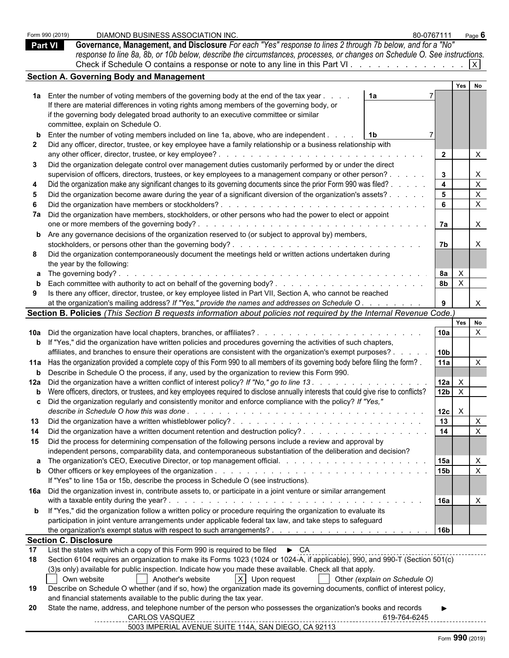|                | Form 990 (2019)              | DIAMOND BUSINESS ASSOCIATION INC.                                                                                                                                                                                                                                                                                                                                                                                                                                                          | 80-0767111                      | Page 6                              |  |
|----------------|------------------------------|--------------------------------------------------------------------------------------------------------------------------------------------------------------------------------------------------------------------------------------------------------------------------------------------------------------------------------------------------------------------------------------------------------------------------------------------------------------------------------------------|---------------------------------|-------------------------------------|--|
| <b>Part VI</b> |                              | Governance, Management, and Disclosure For each "Yes" response to lines 2 through 7b below, and for a "No"                                                                                                                                                                                                                                                                                                                                                                                 |                                 |                                     |  |
|                |                              | response to line 8a, 8b, or 10b below, describe the circumstances, processes, or changes on Schedule O. See instructions.                                                                                                                                                                                                                                                                                                                                                                  |                                 |                                     |  |
|                |                              | Check if Schedule O contains a response or note to any line in this Part VI                                                                                                                                                                                                                                                                                                                                                                                                                |                                 | X                                   |  |
|                |                              | <b>Section A. Governing Body and Management</b>                                                                                                                                                                                                                                                                                                                                                                                                                                            |                                 |                                     |  |
|                |                              |                                                                                                                                                                                                                                                                                                                                                                                                                                                                                            |                                 | Yes I<br>No                         |  |
|                |                              | 1a Enter the number of voting members of the governing body at the end of the tax year<br>1а                                                                                                                                                                                                                                                                                                                                                                                               |                                 |                                     |  |
|                |                              | If there are material differences in voting rights among members of the governing body, or                                                                                                                                                                                                                                                                                                                                                                                                 |                                 |                                     |  |
|                |                              | if the governing body delegated broad authority to an executive committee or similar<br>committee, explain on Schedule O.                                                                                                                                                                                                                                                                                                                                                                  |                                 |                                     |  |
|                |                              | <b>b</b> Enter the number of voting members included on line 1a, above, who are independent.<br>  1b                                                                                                                                                                                                                                                                                                                                                                                       |                                 |                                     |  |
| 2.             |                              | Did any officer, director, trustee, or key employee have a family relationship or a business relationship with                                                                                                                                                                                                                                                                                                                                                                             |                                 |                                     |  |
|                |                              |                                                                                                                                                                                                                                                                                                                                                                                                                                                                                            | $\overline{2}$                  | $\boldsymbol{\mathsf{X}}$           |  |
|                |                              | Did the organization delegate control over management duties customarily performed by or under the direct                                                                                                                                                                                                                                                                                                                                                                                  |                                 |                                     |  |
|                |                              | supervision of officers, directors, trustees, or key employees to a management company or other person?.                                                                                                                                                                                                                                                                                                                                                                                   | $3^{\circ}$                     | X                                   |  |
|                |                              | Did the organization make any significant changes to its governing documents since the prior Form 990 was filed?                                                                                                                                                                                                                                                                                                                                                                           | $\overline{\mathbf{4}}$         | $\boldsymbol{X}$                    |  |
|                |                              | Did the organization become aware during the year of a significant diversion of the organization's assets? .                                                                                                                                                                                                                                                                                                                                                                               | 5 <sup>5</sup>                  | $\boldsymbol{\mathsf{X}}$           |  |
|                |                              |                                                                                                                                                                                                                                                                                                                                                                                                                                                                                            | $6\phantom{a}$                  | $\boldsymbol{\mathsf{X}}$           |  |
|                |                              | 7a Did the organization have members, stockholders, or other persons who had the power to elect or appoint                                                                                                                                                                                                                                                                                                                                                                                 |                                 |                                     |  |
|                |                              |                                                                                                                                                                                                                                                                                                                                                                                                                                                                                            | 7a                              | X                                   |  |
|                |                              | <b>b</b> Are any governance decisions of the organization reserved to (or subject to approval by) members,                                                                                                                                                                                                                                                                                                                                                                                 | 7 <sub>b</sub>                  | $\times$                            |  |
|                |                              | Did the organization contemporaneously document the meetings held or written actions undertaken during                                                                                                                                                                                                                                                                                                                                                                                     |                                 |                                     |  |
|                |                              | the year by the following:                                                                                                                                                                                                                                                                                                                                                                                                                                                                 |                                 |                                     |  |
|                |                              | <b>a</b> The governing body?.<br>$\mathcal{L}^{\mathcal{A}}(\mathcal{A}^{\mathcal{A}}(\mathcal{A}^{\mathcal{A}}(\mathcal{A}^{\mathcal{A}}(\mathcal{A}^{\mathcal{A}}(\mathcal{A}^{\mathcal{A}}(\mathcal{A}^{\mathcal{A}}(\mathcal{A}^{\mathcal{A}}(\mathcal{A}^{\mathcal{A}}(\mathcal{A}^{\mathcal{A}}(\mathcal{A}^{\mathcal{A}}(\mathcal{A}^{\mathcal{A}}(\mathcal{A}^{\mathcal{A}}(\mathcal{A}^{\mathcal{A}}(\mathcal{A}^{\mathcal{A}}(\mathcal{A}^{\mathcal{A}}(\mathcal{A}^{\mathcal{A$ | 8а<br>$\mathsf{X}$              |                                     |  |
|                |                              |                                                                                                                                                                                                                                                                                                                                                                                                                                                                                            | 8 <sub>b</sub>                  | $\mathsf{X}$                        |  |
|                |                              | Is there any officer, director, trustee, or key employee listed in Part VII, Section A, who cannot be reached                                                                                                                                                                                                                                                                                                                                                                              |                                 |                                     |  |
|                |                              | at the organization's mailing address? If "Yes," provide the names and addresses on Schedule O.                                                                                                                                                                                                                                                                                                                                                                                            | 9                               | $\mathsf{X}$                        |  |
|                |                              | Section B. Policies (This Section B requests information about policies not required by the Internal Revenue Code.)                                                                                                                                                                                                                                                                                                                                                                        |                                 |                                     |  |
|                |                              |                                                                                                                                                                                                                                                                                                                                                                                                                                                                                            | 10a                             | Yes No<br>$\boldsymbol{\mathsf{X}}$ |  |
|                |                              | <b>b</b> If "Yes," did the organization have written policies and procedures governing the activities of such chapters,                                                                                                                                                                                                                                                                                                                                                                    |                                 |                                     |  |
|                |                              | affiliates, and branches to ensure their operations are consistent with the organization's exempt purposes? .                                                                                                                                                                                                                                                                                                                                                                              | 10 <sub>b</sub>                 |                                     |  |
|                |                              | 11a Has the organization provided a complete copy of this Form 990 to all members of its governing body before filing the form?.                                                                                                                                                                                                                                                                                                                                                           | <b>11a</b>                      | $\boldsymbol{\mathsf{X}}$           |  |
|                |                              | <b>b</b> Describe in Schedule O the process, if any, used by the organization to review this Form 990.                                                                                                                                                                                                                                                                                                                                                                                     |                                 |                                     |  |
|                |                              | 12a Did the organization have a written conflict of interest policy? If "No," go to line 13.                                                                                                                                                                                                                                                                                                                                                                                               | 12a<br>$\mathsf{X}$             |                                     |  |
|                |                              | b Were officers, directors, or trustees, and key employees required to disclose annually interests that could give rise to conflicts?                                                                                                                                                                                                                                                                                                                                                      | 12 <sub>b</sub><br>$\mathsf{X}$ |                                     |  |
|                |                              | Did the organization regularly and consistently monitor and enforce compliance with the policy? If "Yes,"<br>describe in Schedule O how this was done.                                                                                                                                                                                                                                                                                                                                     | 12c<br>$\mathsf{X}$             |                                     |  |
| 13             |                              |                                                                                                                                                                                                                                                                                                                                                                                                                                                                                            | $\overline{13}$                 | $\mathsf{X}$                        |  |
| 14             |                              | Did the organization have a written document retention and destruction policy?                                                                                                                                                                                                                                                                                                                                                                                                             | $\overline{14}$                 | $\mathsf{X}$                        |  |
| 15.            |                              | Did the process for determining compensation of the following persons include a review and approval by<br>independent persons, comparability data, and contemporaneous substantiation of the deliberation and decision?                                                                                                                                                                                                                                                                    |                                 |                                     |  |
|                |                              |                                                                                                                                                                                                                                                                                                                                                                                                                                                                                            | <b>15a</b>                      | $\boldsymbol{\mathsf{X}}$           |  |
|                |                              | If "Yes" to line 15a or 15b, describe the process in Schedule O (see instructions).                                                                                                                                                                                                                                                                                                                                                                                                        | 15 <sub>b</sub>                 | $\mathsf{X}$                        |  |
|                |                              | 16a Did the organization invest in, contribute assets to, or participate in a joint venture or similar arrangement                                                                                                                                                                                                                                                                                                                                                                         |                                 |                                     |  |
|                |                              | with a taxable entity during the year?.<br>and a complete service of the complete service of the complete service of the complete service of the complete                                                                                                                                                                                                                                                                                                                                  | 16a                             |                                     |  |
|                |                              | <b>b</b> If "Yes," did the organization follow a written policy or procedure requiring the organization to evaluate its                                                                                                                                                                                                                                                                                                                                                                    |                                 |                                     |  |
|                |                              | participation in joint venture arrangements under applicable federal tax law, and take steps to safeguard                                                                                                                                                                                                                                                                                                                                                                                  |                                 |                                     |  |
|                |                              |                                                                                                                                                                                                                                                                                                                                                                                                                                                                                            | 16b                             |                                     |  |
| 17             | <b>Section C. Disclosure</b> | List the states with which a copy of this Form 990 is required to be filed $\triangleright$ CA                                                                                                                                                                                                                                                                                                                                                                                             |                                 |                                     |  |
| 18             |                              | Section 6104 requires an organization to make its Forms 1023 (1024 or 1024-A, if applicable), 990, and 990-T (Section 501(c)                                                                                                                                                                                                                                                                                                                                                               |                                 |                                     |  |
|                |                              | (3) sonly) available for public inspection. Indicate how you made these available. Check all that apply.                                                                                                                                                                                                                                                                                                                                                                                   |                                 |                                     |  |
| 19             |                              | $X$ Upon request<br>  Another's website<br>Other (explain on Schedule O)<br>Own website<br>Describe on Schedule O whether (and if so, how) the organization made its governing documents, conflict of interest policy,                                                                                                                                                                                                                                                                     |                                 |                                     |  |
|                |                              | and financial statements available to the public during the tax year.                                                                                                                                                                                                                                                                                                                                                                                                                      |                                 |                                     |  |
| 20             |                              | State the name, address, and telephone number of the person who possesses the organization's books and records<br><b>CARLOS VASQUEZ</b><br>619-764-6245                                                                                                                                                                                                                                                                                                                                    |                                 |                                     |  |
|                |                              | 5003 IMPERIAL AVENUE SUITE 114A, SAN DIEGO, CA 92113                                                                                                                                                                                                                                                                                                                                                                                                                                       |                                 |                                     |  |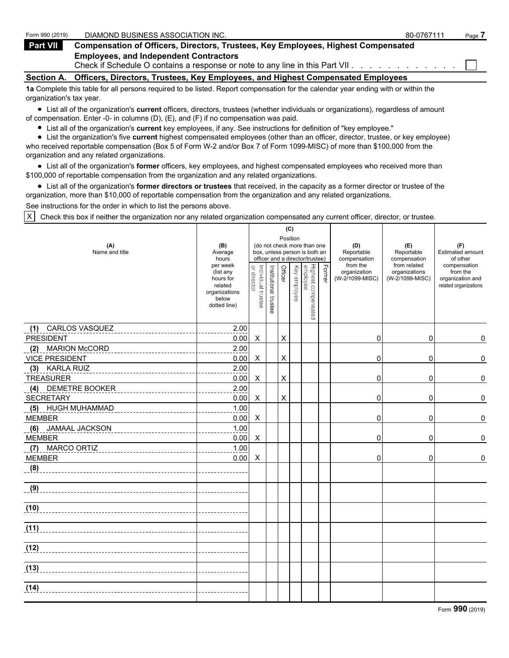| Form 990 (2019)   | DIAMOND BUSINESS ASSOCIATION INC.                                                                                                 | 80-0767111 | Page <i>I</i> |
|-------------------|-----------------------------------------------------------------------------------------------------------------------------------|------------|---------------|
| Part VII          | <b>Compensation of Officers, Directors, Trustees, Key Employees, Highest Compensated</b>                                          |            |               |
|                   | <b>Employees, and Independent Contractors</b><br>Check if Schedule O contains a response or note to any line in this Part VII.    |            |               |
| <b>Section A.</b> | Officers, Directors, Trustees, Key Employees, and Highest Compensated Employees                                                   |            |               |
|                   | 1a Complete this table for all persons required to be listed. Report compensation for the calendar year ending with or within the |            |               |

organization's tax year.

List all of the organization's **current** officers, directors, trustees (whether individuals or organizations), regardless of amount of compensation. Enter -0- in columns (D), (E), and (F) if no compensation was paid.

List all of the organization's **current** key employees, if any. See instructions for definition of "key employee."

List the organization's five **current** highest compensated employees (other than an officer, director, trustee, or key employee) who received reportable compensation (Box 5 of Form W-2 and/or Box 7 of Form 1099-MISC) of more than \$100,000 from the organization and any related organizations.

List all of the organization's **former** officers, key employees, and highest compensated employees who received more than \$100,000 of reportable compensation from the organization and any related organizations.

List all of the organization's **former directors or trustees** that received, in the capacity as a former director or trustee of the organization, more than \$10,000 of reportable compensation from the organization and any related organizations.

See instructions for the order in which to list the persons above.

X Check this box if neither the organization nor any related organization compensated any current officer, director, or trustee.

|                              |                                                                                         |                                   |                       | (C)            |              |                                                                                                 |        |                                             |                                                  |                                                                       |
|------------------------------|-----------------------------------------------------------------------------------------|-----------------------------------|-----------------------|----------------|--------------|-------------------------------------------------------------------------------------------------|--------|---------------------------------------------|--------------------------------------------------|-----------------------------------------------------------------------|
| (A)<br>Name and title        | (B)<br>Average<br>hours                                                                 |                                   |                       |                | Position     | (do not check more than one<br>box, unless person is both an<br>officer and a director/trustee) |        | (D)<br>Reportable<br>compensation           | (E)<br>Reportable<br>compensation                | (F)<br>Estimated amount<br>of other                                   |
|                              | per week<br>(list any<br>hours for<br>related<br>organizations<br>below<br>dotted line) | or director<br>Individual trustee | Institutional trustee | Officer        | Key employee | Highest compensated<br>employee                                                                 | Former | from the<br>organization<br>(W-2/1099-MISC) | from related<br>organizations<br>(W-2/1099-MISC) | compensation<br>from the<br>organization and<br>related organizations |
| <b>CARLOS VASQUEZ</b><br>(1) | 2.00                                                                                    |                                   |                       |                |              |                                                                                                 |        |                                             |                                                  |                                                                       |
| <b>PRESIDENT</b>             | 0.00                                                                                    | X                                 |                       | X              |              |                                                                                                 |        | 0                                           | 0                                                | 0                                                                     |
| <b>MARION McCORD</b><br>(2)  | 2.00                                                                                    |                                   |                       |                |              |                                                                                                 |        |                                             |                                                  |                                                                       |
| <b>VICE PRESIDENT</b>        | 0.00                                                                                    | X                                 |                       | $\mathsf X$    |              |                                                                                                 |        | 0                                           | 0                                                | 0                                                                     |
| <b>KARLA RUIZ</b><br>(3)     | 2.00                                                                                    |                                   |                       |                |              |                                                                                                 |        |                                             |                                                  |                                                                       |
| <b>TREASURER</b>             | 0.00                                                                                    | X                                 |                       | $\pmb{\times}$ |              |                                                                                                 |        | 0                                           | 0                                                | 0                                                                     |
| (4) DEMETRE BOOKER           | 2.00                                                                                    |                                   |                       |                |              |                                                                                                 |        |                                             |                                                  |                                                                       |
| <b>SECRETARY</b>             | 0.00                                                                                    | X                                 |                       | X              |              |                                                                                                 |        | 0                                           | 0                                                | 0                                                                     |
| (5) HUGH MUHAMMAD            | 1.00                                                                                    |                                   |                       |                |              |                                                                                                 |        |                                             |                                                  |                                                                       |
| <b>MEMBER</b>                | 0.00                                                                                    | X                                 |                       |                |              |                                                                                                 |        | 0                                           | 0                                                | 0                                                                     |
| (6) JAMAAL JACKSON           | 1.00                                                                                    |                                   |                       |                |              |                                                                                                 |        |                                             |                                                  |                                                                       |
| <b>MEMBER</b>                | 0.00                                                                                    | X                                 |                       |                |              |                                                                                                 |        | $\Omega$                                    | $\mathbf 0$                                      | 0                                                                     |
| (7) MARCO ORTIZ              | 1.00                                                                                    |                                   |                       |                |              |                                                                                                 |        |                                             |                                                  |                                                                       |
| <b>MEMBER</b>                | 0.00                                                                                    | X                                 |                       |                |              |                                                                                                 |        | 0                                           | 0                                                | 0                                                                     |
| (8)                          |                                                                                         |                                   |                       |                |              |                                                                                                 |        |                                             |                                                  |                                                                       |
| (9)                          |                                                                                         |                                   |                       |                |              |                                                                                                 |        |                                             |                                                  |                                                                       |
| (10)                         |                                                                                         |                                   |                       |                |              |                                                                                                 |        |                                             |                                                  |                                                                       |
| (11)                         |                                                                                         |                                   |                       |                |              |                                                                                                 |        |                                             |                                                  |                                                                       |
| (12)                         |                                                                                         |                                   |                       |                |              |                                                                                                 |        |                                             |                                                  |                                                                       |
| (13)                         |                                                                                         |                                   |                       |                |              |                                                                                                 |        |                                             |                                                  |                                                                       |
| (14)                         |                                                                                         |                                   |                       |                |              |                                                                                                 |        |                                             |                                                  |                                                                       |

Form **990** (2019)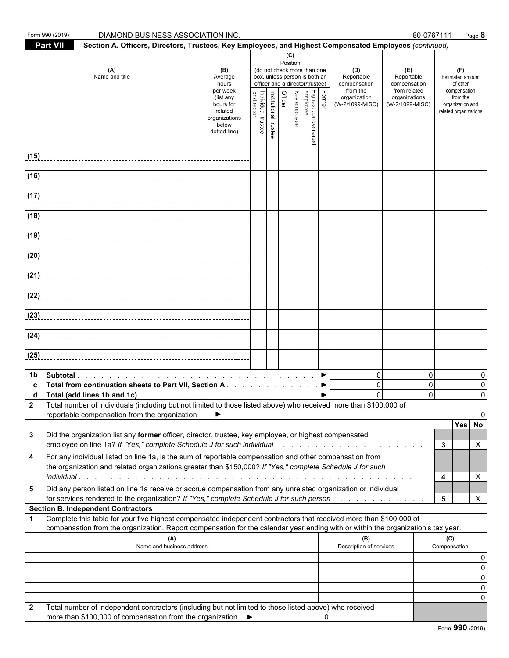| Form 990 (2019) | DIAMOND BUSINESS ASSOCIATION INC.                                                                                                                                                                                                                                                                                               |                                                                                                    |                                   |                       |                 |                                                                                                                                                                    |   |                                                                                  |                                                                                       | 80-0767111                             | Page 8                                                                                                       |                    |
|-----------------|---------------------------------------------------------------------------------------------------------------------------------------------------------------------------------------------------------------------------------------------------------------------------------------------------------------------------------|----------------------------------------------------------------------------------------------------|-----------------------------------|-----------------------|-----------------|--------------------------------------------------------------------------------------------------------------------------------------------------------------------|---|----------------------------------------------------------------------------------|---------------------------------------------------------------------------------------|----------------------------------------|--------------------------------------------------------------------------------------------------------------|--------------------|
| <b>Part VII</b> | Section A. Officers, Directors, Trustees, Key Employees, and Highest Compensated Employees (continued)                                                                                                                                                                                                                          |                                                                                                    |                                   |                       |                 |                                                                                                                                                                    |   |                                                                                  |                                                                                       |                                        |                                                                                                              |                    |
|                 | (A)<br>Name and title                                                                                                                                                                                                                                                                                                           | (B)<br>Average<br>hours<br>per week<br>(list any<br>hours for<br>related<br>organizations<br>below | Individual trustee<br>or director | Institutional trustee | (C)<br>Position | (do not check more than one<br>box, unless person is both an<br>officer and a director/trustee)<br>Former<br>Highest compensated<br>Enployee<br>Crficer<br>Officer |   | (D)<br>Reportable<br>compensation<br>from the<br>organization<br>(W-2/1099-MISC) | (E)<br>Reportable<br>compensation<br>from related<br>organizations<br>(W-2/1099-MISC) |                                        | (F)<br>Estimated amount<br>of other<br>compensation<br>from the<br>organization and<br>related organizations |                    |
|                 |                                                                                                                                                                                                                                                                                                                                 | dotted line)                                                                                       |                                   |                       |                 |                                                                                                                                                                    |   |                                                                                  |                                                                                       |                                        |                                                                                                              |                    |
| (15)            |                                                                                                                                                                                                                                                                                                                                 |                                                                                                    |                                   |                       |                 |                                                                                                                                                                    |   |                                                                                  |                                                                                       |                                        |                                                                                                              |                    |
|                 |                                                                                                                                                                                                                                                                                                                                 |                                                                                                    |                                   |                       |                 |                                                                                                                                                                    |   |                                                                                  |                                                                                       |                                        |                                                                                                              |                    |
|                 |                                                                                                                                                                                                                                                                                                                                 |                                                                                                    |                                   |                       |                 |                                                                                                                                                                    |   |                                                                                  |                                                                                       |                                        |                                                                                                              |                    |
|                 |                                                                                                                                                                                                                                                                                                                                 |                                                                                                    |                                   |                       |                 |                                                                                                                                                                    |   |                                                                                  |                                                                                       |                                        |                                                                                                              |                    |
|                 |                                                                                                                                                                                                                                                                                                                                 |                                                                                                    |                                   |                       |                 |                                                                                                                                                                    |   |                                                                                  |                                                                                       |                                        |                                                                                                              |                    |
| (20)            |                                                                                                                                                                                                                                                                                                                                 |                                                                                                    |                                   |                       |                 |                                                                                                                                                                    |   |                                                                                  |                                                                                       |                                        |                                                                                                              |                    |
|                 |                                                                                                                                                                                                                                                                                                                                 |                                                                                                    |                                   |                       |                 |                                                                                                                                                                    |   |                                                                                  |                                                                                       |                                        |                                                                                                              |                    |
|                 |                                                                                                                                                                                                                                                                                                                                 |                                                                                                    |                                   |                       |                 |                                                                                                                                                                    |   |                                                                                  |                                                                                       |                                        |                                                                                                              |                    |
|                 |                                                                                                                                                                                                                                                                                                                                 |                                                                                                    |                                   |                       |                 |                                                                                                                                                                    |   |                                                                                  |                                                                                       |                                        |                                                                                                              |                    |
|                 |                                                                                                                                                                                                                                                                                                                                 |                                                                                                    |                                   |                       |                 |                                                                                                                                                                    |   |                                                                                  |                                                                                       |                                        |                                                                                                              |                    |
| (25)            |                                                                                                                                                                                                                                                                                                                                 |                                                                                                    |                                   |                       |                 |                                                                                                                                                                    |   |                                                                                  |                                                                                       |                                        |                                                                                                              |                    |
| 1b              | Total from continuation sheets to Part VII, Section A. ▶<br>Total (add lines 1b and 1c). $\ldots$ $\ldots$ $\ldots$ $\ldots$ $\ldots$ $\ldots$ $\ldots$<br>2 Total number of individuals (including but not limited to those listed above) who received more than \$100,000 of<br>reportable compensation from the organization | ▶                                                                                                  |                                   |                       |                 |                                                                                                                                                                    |   | $\overline{0}$<br>$\mathbf 0$<br>$\mathbf 0$                                     |                                                                                       | $\mathbf 0$<br>$\mathbf 0$<br>$\Omega$ | Yes No                                                                                                       | 0<br>0<br>$\Omega$ |
| 3               | Did the organization list any former officer, director, trustee, key employee, or highest compensated<br>employee on line 1a? If "Yes," complete Schedule J for such individual                                                                                                                                                 |                                                                                                    |                                   |                       |                 |                                                                                                                                                                    |   |                                                                                  |                                                                                       |                                        | 3                                                                                                            | X                  |
| 4               | For any individual listed on line 1a, is the sum of reportable compensation and other compensation from<br>the organization and related organizations greater than \$150,000? If "Yes," complete Schedule J for such                                                                                                            |                                                                                                    |                                   |                       |                 |                                                                                                                                                                    |   |                                                                                  |                                                                                       |                                        | 4                                                                                                            | X                  |
| 5               | Did any person listed on line 1a receive or accrue compensation from any unrelated organization or individual<br>for services rendered to the organization? If "Yes," complete Schedule J for such person.                                                                                                                      |                                                                                                    |                                   |                       |                 |                                                                                                                                                                    |   |                                                                                  |                                                                                       |                                        | 5                                                                                                            | X                  |
|                 | <b>Section B. Independent Contractors</b>                                                                                                                                                                                                                                                                                       |                                                                                                    |                                   |                       |                 |                                                                                                                                                                    |   |                                                                                  |                                                                                       |                                        |                                                                                                              |                    |
|                 | Complete this table for your five highest compensated independent contractors that received more than \$100,000 of<br>compensation from the organization. Report compensation for the calendar year ending with or within the organization's tax year.                                                                          |                                                                                                    |                                   |                       |                 |                                                                                                                                                                    |   |                                                                                  |                                                                                       |                                        |                                                                                                              |                    |
|                 | (A)<br>Name and business address                                                                                                                                                                                                                                                                                                |                                                                                                    |                                   |                       |                 |                                                                                                                                                                    |   | (B)<br>Description of services                                                   |                                                                                       |                                        | (C)<br>Compensation                                                                                          |                    |
|                 |                                                                                                                                                                                                                                                                                                                                 |                                                                                                    |                                   |                       |                 |                                                                                                                                                                    |   |                                                                                  |                                                                                       |                                        |                                                                                                              | 0                  |
|                 |                                                                                                                                                                                                                                                                                                                                 |                                                                                                    |                                   |                       |                 |                                                                                                                                                                    |   |                                                                                  |                                                                                       |                                        |                                                                                                              | 0<br>0             |
|                 |                                                                                                                                                                                                                                                                                                                                 |                                                                                                    |                                   |                       |                 |                                                                                                                                                                    |   |                                                                                  |                                                                                       |                                        |                                                                                                              | 0                  |
| 2               | Total number of independent contractors (including but not limited to those listed above) who received                                                                                                                                                                                                                          |                                                                                                    |                                   |                       |                 |                                                                                                                                                                    |   |                                                                                  |                                                                                       |                                        |                                                                                                              | 0                  |
|                 | more than \$100,000 of compensation from the organization $\blacktriangleright$                                                                                                                                                                                                                                                 |                                                                                                    |                                   |                       |                 |                                                                                                                                                                    | 0 |                                                                                  |                                                                                       |                                        |                                                                                                              |                    |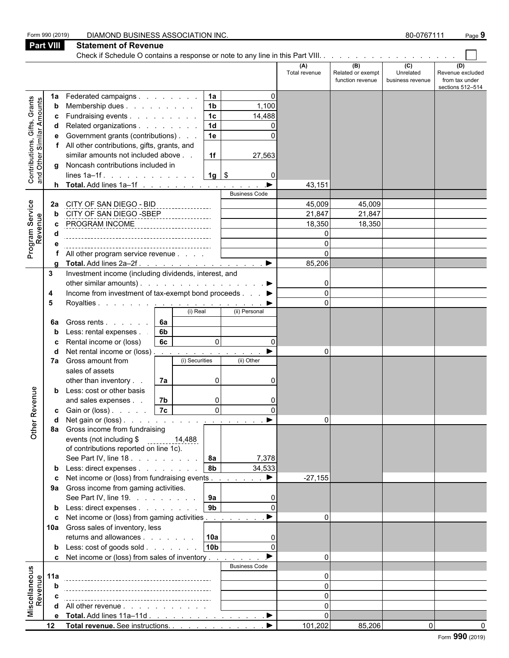|                                                                  | Form 990 (2019)  | DIAMOND BUSINESS ASSOCIATION INC.                                    |    |                         |                      |                       |                      |                                              | 80-0767111                                      |                                                               | Page 9 |
|------------------------------------------------------------------|------------------|----------------------------------------------------------------------|----|-------------------------|----------------------|-----------------------|----------------------|----------------------------------------------|-------------------------------------------------|---------------------------------------------------------------|--------|
|                                                                  | <b>Part VIII</b> | <b>Statement of Revenue</b>                                          |    |                         |                      |                       |                      |                                              |                                                 |                                                               |        |
|                                                                  |                  |                                                                      |    |                         |                      |                       |                      |                                              |                                                 |                                                               |        |
|                                                                  |                  |                                                                      |    |                         |                      |                       | (A)<br>Total revenue | (B)<br>Related or exempt<br>function revenue | $\overline{c}$<br>Unrelated<br>business revenue | (D)<br>Revenue excluded<br>from tax under<br>sections 512-514 |        |
|                                                                  | 1a               | Federated campaigns                                                  |    |                         | 1a                   | O                     |                      |                                              |                                                 |                                                               |        |
| Grants                                                           | b                | Membership dues                                                      |    |                         | 1 <sub>b</sub>       | 1,100                 |                      |                                              |                                                 |                                                               |        |
| <b>Contributions, Gifts, Grants</b><br>and Other Similar Amounts | c                | Fundraising events                                                   |    |                         | 1 <sub>c</sub>       | 14,488                |                      |                                              |                                                 |                                                               |        |
|                                                                  |                  | Related organizations<br>Government grants (contributions)           |    |                         | 1 <sub>d</sub><br>1e | $\Omega$<br>∩         |                      |                                              |                                                 |                                                               |        |
|                                                                  | е                | All other contributions, gifts, grants, and                          |    |                         |                      |                       |                      |                                              |                                                 |                                                               |        |
|                                                                  |                  | similar amounts not included above                                   |    |                         | 1f                   | 27,563                |                      |                                              |                                                 |                                                               |        |
|                                                                  |                  | g Noncash contributions included in                                  |    |                         |                      |                       |                      |                                              |                                                 |                                                               |        |
|                                                                  |                  | lines $1a-1f$ .                                                      |    |                         | $1g$ \$              |                       |                      |                                              |                                                 |                                                               |        |
|                                                                  |                  | <b>h</b> Total. Add lines $1a-1f$                                    |    |                         |                      |                       | 43,151               |                                              |                                                 |                                                               |        |
|                                                                  |                  |                                                                      |    |                         |                      | <b>Business Code</b>  |                      |                                              |                                                 |                                                               |        |
|                                                                  | 2a               | CITY OF SAN DIEGO - BID                                              |    |                         |                      |                       | 45,009<br>21,847     | 45,009<br>21,847                             |                                                 |                                                               |        |
|                                                                  |                  | CITY OF SAN DIEGO -SBEP<br>PROGRAM INCOME                            |    |                         |                      |                       | 18,350               | 18,350                                       |                                                 |                                                               |        |
| Program Service<br>Revenue                                       |                  |                                                                      |    | _______________________ |                      |                       | $\Omega$             |                                              |                                                 |                                                               |        |
|                                                                  |                  |                                                                      |    |                         |                      |                       | $\Omega$             |                                              |                                                 |                                                               |        |
|                                                                  |                  | All other program service revenue                                    |    |                         |                      |                       | $\Omega$             |                                              |                                                 |                                                               |        |
|                                                                  |                  |                                                                      |    |                         |                      |                       | 85,206               |                                              |                                                 |                                                               |        |
|                                                                  | 3                | Investment income (including dividends, interest, and                |    |                         |                      |                       |                      |                                              |                                                 |                                                               |        |
|                                                                  |                  | other similar amounts). $\ldots$ $\ldots$ $\ldots$ $\ldots$ $\ldots$ |    |                         |                      |                       |                      |                                              |                                                 |                                                               |        |
|                                                                  | 4                | Income from investment of tax-exempt bond proceeds ▶                 |    |                         |                      | <b>Contractor</b>     | $\Omega$<br>$\Omega$ |                                              |                                                 |                                                               |        |
|                                                                  | 5                | Royalties <u>.</u>                                                   |    | (i) Real                |                      | (ii) Personal         |                      |                                              |                                                 |                                                               |        |
|                                                                  | 6a               | Gross rents                                                          | 6а |                         |                      |                       |                      |                                              |                                                 |                                                               |        |
|                                                                  | b                | Less: rental expenses.                                               | 6b |                         |                      |                       |                      |                                              |                                                 |                                                               |        |
|                                                                  | c                | Rental income or (loss)                                              | 6c |                         | $\Omega$             | $\Omega$              |                      |                                              |                                                 |                                                               |        |
|                                                                  |                  | Net rental income or (loss)                                          |    |                         |                      |                       | $\Omega$             |                                              |                                                 |                                                               |        |
|                                                                  | 7а               | Gross amount from                                                    |    | (i) Securities          |                      | (ii) Other            |                      |                                              |                                                 |                                                               |        |
|                                                                  |                  | sales of assets<br>other than inventory                              |    |                         | 0                    | 0                     |                      |                                              |                                                 |                                                               |        |
|                                                                  | b                | Less: cost or other basis                                            | 7a |                         |                      |                       |                      |                                              |                                                 |                                                               |        |
| enue                                                             |                  | and sales expenses                                                   | 7b |                         | n                    | ∩                     |                      |                                              |                                                 |                                                               |        |
|                                                                  | c                | Gain or (loss)                                                       | 7c |                         | $\overline{0}$       |                       |                      |                                              |                                                 |                                                               |        |
|                                                                  |                  | Net gain or $(\text{loss})$ .                                        |    |                         |                      |                       | $\Omega$             |                                              |                                                 |                                                               |        |
| Other Rev                                                        |                  | 8a Gross income from fundraising                                     |    |                         |                      |                       |                      |                                              |                                                 |                                                               |        |
|                                                                  |                  | events (not including \$                                             |    | 14,488                  |                      |                       |                      |                                              |                                                 |                                                               |        |
|                                                                  |                  | of contributions reported on line 1c).<br>See Part IV, line 18.      |    |                         | <b>8a</b>            | 7,378                 |                      |                                              |                                                 |                                                               |        |
|                                                                  |                  | <b>b</b> Less: direct expenses                                       |    |                         | <b>8b</b>            | 34,533                |                      |                                              |                                                 |                                                               |        |
|                                                                  | c                | Net income or (loss) from fundraising events                         |    |                         |                      | $\blacktriangleright$ | $-27,155$            |                                              |                                                 |                                                               |        |
|                                                                  |                  | 9a Gross income from gaming activities.                              |    |                         |                      |                       |                      |                                              |                                                 |                                                               |        |
|                                                                  |                  | See Part IV, line 19.                                                |    |                         | 9a                   |                       |                      |                                              |                                                 |                                                               |        |
|                                                                  |                  | <b>b</b> Less: direct expenses                                       |    |                         | 9 <sub>b</sub>       |                       |                      |                                              |                                                 |                                                               |        |
|                                                                  |                  | c Net income or (loss) from gaming activities                        |    |                         |                      |                       | $\Omega$             |                                              |                                                 |                                                               |        |
|                                                                  |                  | 10a Gross sales of inventory, less<br>returns and allowances         |    |                         | 10a                  |                       |                      |                                              |                                                 |                                                               |        |
|                                                                  |                  | <b>b</b> Less: cost of goods sold                                    |    |                         | 10 <sub>b</sub>      |                       |                      |                                              |                                                 |                                                               |        |
|                                                                  |                  | c Net income or (loss) from sales of inventory                       |    |                         |                      |                       | $\Omega$             |                                              |                                                 |                                                               |        |
|                                                                  |                  |                                                                      |    |                         |                      | <b>Business Code</b>  |                      |                                              |                                                 |                                                               |        |
| Miscellaneous<br>Revenue                                         | 11a              |                                                                      |    |                         |                      |                       | U                    |                                              |                                                 |                                                               |        |
|                                                                  |                  |                                                                      |    |                         |                      |                       | $\Omega$             |                                              |                                                 |                                                               |        |
|                                                                  |                  |                                                                      |    |                         |                      |                       | $\Omega$             |                                              |                                                 |                                                               |        |
|                                                                  |                  | d All other revenue                                                  |    |                         |                      |                       |                      |                                              |                                                 |                                                               |        |
|                                                                  |                  | e Total. Add lines 11a-11d                                           |    |                         |                      | ▁▶                    | $\Omega$             |                                              |                                                 |                                                               |        |
|                                                                  | 12               | Total revenue. See instructions.                                     |    |                         |                      |                       | 101,202              | 85,206                                       | $\Omega$                                        |                                                               |        |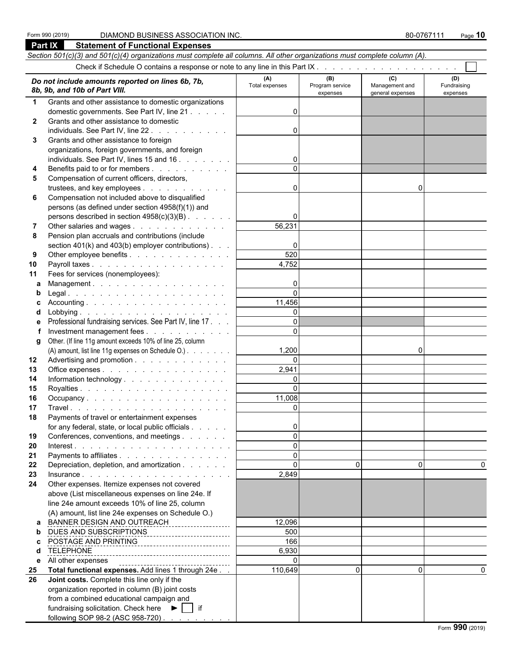#### Form 990 (2019) DIAMOND BUSINESS ASSOCIATION INC. **80-0767111** Page 10

|              | Part IX<br><b>Statement of Functional Expenses</b>                                                                         |                      |                             |                                    |                         |
|--------------|----------------------------------------------------------------------------------------------------------------------------|----------------------|-----------------------------|------------------------------------|-------------------------|
|              | Section 501(c)(3) and 501(c)(4) organizations must complete all columns. All other organizations must complete column (A). |                      |                             |                                    |                         |
|              |                                                                                                                            |                      |                             |                                    |                         |
|              | Do not include amounts reported on lines 6b, 7b,                                                                           | (A)                  | (B)                         | (C)                                | (D)                     |
|              | 8b, 9b, and 10b of Part VIII.                                                                                              | Total expenses       | Program service<br>expenses | Management and<br>general expenses | Fundraising<br>expenses |
| 1            | Grants and other assistance to domestic organizations                                                                      |                      |                             |                                    |                         |
|              | domestic governments. See Part IV, line 21                                                                                 | $\Omega$             |                             |                                    |                         |
| $\mathbf{2}$ | Grants and other assistance to domestic                                                                                    |                      |                             |                                    |                         |
|              | individuals. See Part IV, line 22.                                                                                         | $\Omega$             |                             |                                    |                         |
| 3            | Grants and other assistance to foreign                                                                                     |                      |                             |                                    |                         |
|              | organizations, foreign governments, and foreign                                                                            |                      |                             |                                    |                         |
|              | individuals. See Part IV, lines 15 and 16                                                                                  |                      |                             |                                    |                         |
| 4            | Benefits paid to or for members                                                                                            |                      |                             |                                    |                         |
| 5            | Compensation of current officers, directors,                                                                               |                      |                             |                                    |                         |
|              | trustees, and key employees                                                                                                | $\Omega$             |                             | $\Omega$                           |                         |
| 6            | Compensation not included above to disqualified                                                                            |                      |                             |                                    |                         |
|              | persons (as defined under section 4958(f)(1)) and                                                                          |                      |                             |                                    |                         |
|              | persons described in section 4958(c)(3)(B)                                                                                 | $\Omega$             |                             |                                    |                         |
|              | Other salaries and wages                                                                                                   | 56,231               |                             |                                    |                         |
| 8            | Pension plan accruals and contributions (include                                                                           |                      |                             |                                    |                         |
|              | section $401(k)$ and $403(b)$ employer contributions).                                                                     | 0                    |                             |                                    |                         |
| 9            | Other employee benefits                                                                                                    | 520                  |                             |                                    |                         |
| 10           |                                                                                                                            | 4,752                |                             |                                    |                         |
| 11           | Fees for services (nonemployees):                                                                                          |                      |                             |                                    |                         |
| a            | Management.                                                                                                                | 0                    |                             |                                    |                         |
|              |                                                                                                                            | $\Omega$             |                             |                                    |                         |
|              |                                                                                                                            | 11,456               |                             |                                    |                         |
|              |                                                                                                                            | $\Omega$<br>$\Omega$ |                             |                                    |                         |
|              | Professional fundraising services. See Part IV, line 17.                                                                   | $\Omega$             |                             |                                    |                         |
|              | Investment management fees                                                                                                 |                      |                             |                                    |                         |
| g            | Other. (If line 11g amount exceeds 10% of line 25, column<br>(A) amount, list line 11g expenses on Schedule O.)            | 1,200                |                             | 0                                  |                         |
| 12           | Advertising and promotion                                                                                                  | $\Omega$             |                             |                                    |                         |
| 13           | Office expenses                                                                                                            | 2,941                |                             |                                    |                         |
| 14           |                                                                                                                            | $\Omega$             |                             |                                    |                         |
| 15           |                                                                                                                            | $\Omega$             |                             |                                    |                         |
| 16           | Occupancy                                                                                                                  | 11,008               |                             |                                    |                         |
| 17           |                                                                                                                            | $\overline{0}$       |                             |                                    |                         |
| 18           | Payments of travel or entertainment expenses                                                                               |                      |                             |                                    |                         |
|              | for any federal, state, or local public officials                                                                          | $\Omega$             |                             |                                    |                         |
| 19           | Conferences, conventions, and meetings                                                                                     | $\Omega$             |                             |                                    |                         |
| 20           |                                                                                                                            | $\Omega$             |                             |                                    |                         |
| 21           | Payments to affiliates                                                                                                     | $\Omega$             |                             |                                    |                         |
| 22           | Depreciation, depletion, and amortization                                                                                  | $\Omega$             | $\Omega$                    | 0                                  |                         |
| 23           |                                                                                                                            | 2,849                |                             |                                    |                         |
| 24           | Other expenses. Itemize expenses not covered                                                                               |                      |                             |                                    |                         |
|              | above (List miscellaneous expenses on line 24e. If                                                                         |                      |                             |                                    |                         |
|              | line 24e amount exceeds 10% of line 25, column                                                                             |                      |                             |                                    |                         |
|              | (A) amount, list line 24e expenses on Schedule O.)                                                                         |                      |                             |                                    |                         |
| a            | BANNER DESIGN AND OUTREACH                                                                                                 | 12,096               |                             |                                    |                         |
| b            | DUES AND SUBSCRIPTIONS<br>------------------------                                                                         | 500                  |                             |                                    |                         |
| C.           | POSTAGE AND PRINTING<br>POSTAGE AND PRINTING                                                                               | 166                  |                             |                                    |                         |
| d            | <b>TELEPHONE</b>                                                                                                           | 6,930                |                             |                                    |                         |
| е            | All other expenses<br>Total functional expenses. Add lines 1 through 24e                                                   | $\Omega$<br>110,649  | $\Omega$                    | $\Omega$                           | 0                       |
| 25<br>26     | Joint costs. Complete this line only if the                                                                                |                      |                             |                                    |                         |
|              | organization reported in column (B) joint costs                                                                            |                      |                             |                                    |                         |
|              | from a combined educational campaign and                                                                                   |                      |                             |                                    |                         |
|              | fundraising solicitation. Check here $\blacktriangleright$   if                                                            |                      |                             |                                    |                         |
|              | following SOP 98-2 (ASC 958-720)                                                                                           |                      |                             |                                    |                         |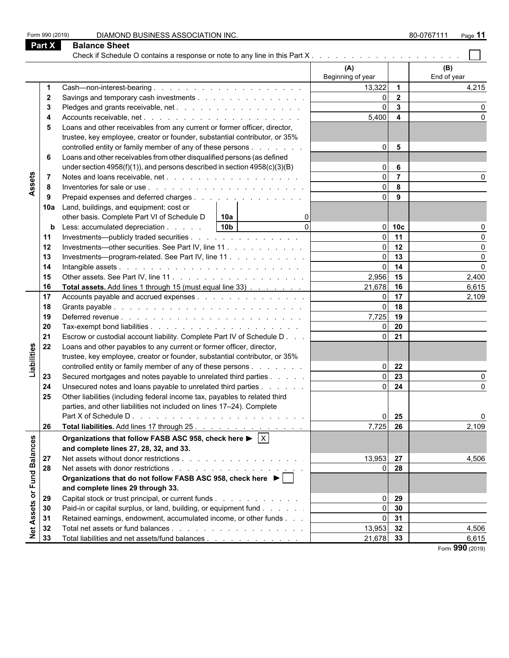| Form 990 (2019)   |             | DIAMOND BUSINESS ASSOCIATION INC.                                                                   |                          |                         | 80-0767111<br>Page 11 |
|-------------------|-------------|-----------------------------------------------------------------------------------------------------|--------------------------|-------------------------|-----------------------|
| <b>Part X</b>     |             | <b>Balance Sheet</b>                                                                                |                          |                         |                       |
|                   |             | Check if Schedule O contains a response or note to any line in this Part X                          |                          |                         |                       |
|                   |             |                                                                                                     | (A)<br>Beginning of year |                         | (B)<br>End of year    |
|                   | 1           |                                                                                                     | 13,322                   | $\overline{1}$          | 4,215                 |
|                   | $\mathbf 2$ |                                                                                                     | $\Omega$                 | $\overline{\mathbf{2}}$ |                       |
|                   | 3           |                                                                                                     | $\Omega$                 | $\mathbf{3}$            |                       |
|                   | 4           |                                                                                                     | 5,400                    | $\overline{4}$          |                       |
|                   | 5           | Loans and other receivables from any current or former officer, director,                           |                          |                         |                       |
|                   |             | trustee, key employee, creator or founder, substantial contributor, or 35%                          |                          |                         |                       |
|                   |             | controlled entity or family member of any of these persons                                          | $\overline{0}$           | $5\phantom{1}$          |                       |
|                   | 6           | Loans and other receivables from other disqualified persons (as defined                             |                          |                         |                       |
|                   |             | under section 4958(f)(1)), and persons described in section $4958(c)(3)(B)$                         | $\Omega$                 | 6                       |                       |
|                   | 7           |                                                                                                     | $\Omega$                 | $\overline{7}$          |                       |
| Assets            | 8           |                                                                                                     | $\Omega$                 | 8                       |                       |
|                   | 9           | Prepaid expenses and deferred charges                                                               | $\Omega$                 | 9                       |                       |
|                   | 10a         | Land, buildings, and equipment: cost or                                                             |                          |                         |                       |
|                   |             | other basis. Complete Part VI of Schedule D<br>  10a                                                |                          |                         |                       |
|                   | b           | 10 <sub>b</sub><br>$\Omega$<br>Less: accumulated depreciation                                       | ΟI                       | 10 <sub>c</sub>         |                       |
|                   | 11          | Investments—publicly traded securities                                                              | $\Omega$                 | 11                      |                       |
|                   | 12          | Investments—other securities. See Part IV, line 11.                                                 | $\Omega$                 | 12                      |                       |
|                   | 13          | Investments-program-related. See Part IV, line 11                                                   | $\Omega$                 | 13                      |                       |
|                   | 14          |                                                                                                     | $\Omega$                 | 14                      | U                     |
|                   | 15          |                                                                                                     | 2,956                    | 15                      | 2,400                 |
|                   | 16          | Total assets. Add lines 1 through 15 (must equal line 33)                                           | 21,678                   | 16                      | 6,615                 |
|                   | 17          | Accounts payable and accrued expenses                                                               | $\Omega$                 | 17                      | 2,109                 |
|                   | 18          |                                                                                                     | $\Omega$                 | 18                      |                       |
|                   | 19          |                                                                                                     | 7,725                    | 19                      |                       |
|                   | 20          |                                                                                                     | $\Omega$                 | 20                      |                       |
|                   | 21          | Escrow or custodial account liability. Complete Part IV of Schedule D                               | $\Omega$                 | 21                      |                       |
|                   | 22          | Loans and other payables to any current or former officer, director,                                |                          |                         |                       |
|                   |             | trustee, key employee, creator or founder, substantial contributor, or 35%                          |                          |                         |                       |
| Liabilities       |             | controlled entity or family member of any of these persons                                          | $\Omega$                 | 22                      |                       |
|                   | 23          | Secured mortgages and notes payable to unrelated third parties                                      | $\Omega$                 | 23                      |                       |
|                   | 24          | Unsecured notes and loans payable to unrelated third parties                                        | $\Omega$                 | 24                      |                       |
|                   | 25          | Other liabilities (including federal income tax, payables to related third                          |                          |                         |                       |
|                   |             | parties, and other liabilities not included on lines 17-24). Complete                               |                          |                         |                       |
|                   |             |                                                                                                     | $\Omega$                 | 25                      | 0                     |
|                   | 26          | Total liabilities. Add lines 17 through 25.                                                         | 7,725                    | 26                      | 2,109                 |
|                   |             | Organizations that follow FASB ASC 958, check here $\blacktriangleright \lceil \overline{X} \rceil$ |                          |                         |                       |
|                   |             | and complete lines 27, 28, 32, and 33.                                                              |                          |                         |                       |
|                   | 27          |                                                                                                     | 13,953 27                |                         | 4,506                 |
| or Fund Balances  | 28          |                                                                                                     |                          | $0\quad$ 28             |                       |
|                   |             | Organizations that do not follow FASB ASC 958, check here ▶                                         |                          |                         |                       |
|                   |             | and complete lines 29 through 33.                                                                   |                          |                         |                       |
|                   | 29          | Capital stock or trust principal, or current funds                                                  | οI                       | 29                      |                       |
| <b>Net Assets</b> | 30          | Paid-in or capital surplus, or land, building, or equipment fund                                    | $\overline{0}$           | 30                      |                       |
|                   | 31          | Retained earnings, endowment, accumulated income, or other funds                                    | $\circ$                  | 31                      |                       |
|                   | 32          |                                                                                                     | 13,953 32                |                         | 4,506                 |
|                   | 33          | Total liabilities and net assets/fund balances                                                      | $21,678$ 33              |                         | 6,615                 |
|                   |             |                                                                                                     |                          |                         | Form 990 (2019)       |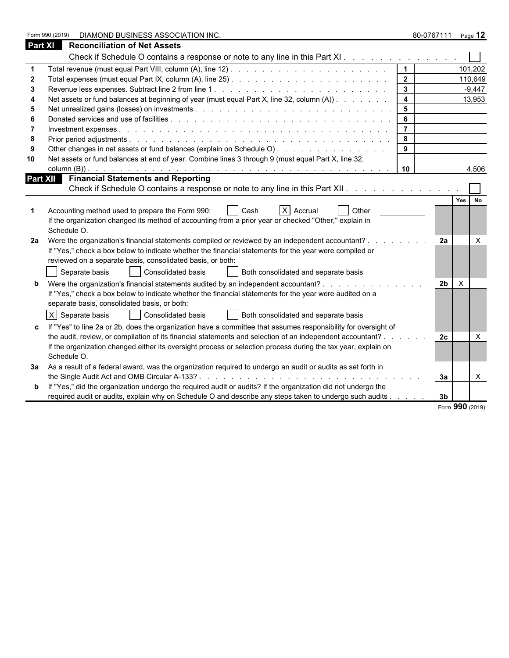|                | DIAMOND BUSINESS ASSOCIATION INC.<br>Form 990 (2019)                                                                           |                         | 80-0767111     | Page $12$    |  |
|----------------|--------------------------------------------------------------------------------------------------------------------------------|-------------------------|----------------|--------------|--|
| <b>Part XI</b> | <b>Reconciliation of Net Assets</b>                                                                                            |                         |                |              |  |
|                | Check if Schedule O contains a response or note to any line in this Part XI.                                                   |                         |                |              |  |
|                |                                                                                                                                | $\vert$ 1               |                | 101,202      |  |
|                |                                                                                                                                | $\overline{\mathbf{2}}$ |                | 110,649      |  |
|                |                                                                                                                                | $\overline{\mathbf{3}}$ |                | $-9,447$     |  |
|                | Net assets or fund balances at beginning of year (must equal Part X, line 32, column (A))                                      | $\overline{4}$          |                | 13,953       |  |
|                |                                                                                                                                | 5                       |                |              |  |
|                |                                                                                                                                | 6                       |                |              |  |
|                |                                                                                                                                | $\overline{7}$          |                |              |  |
|                |                                                                                                                                | 8                       |                |              |  |
|                | Other changes in net assets or fund balances (explain on Schedule O).                                                          | 9                       |                |              |  |
| 10             | Net assets or fund balances at end of year. Combine lines 3 through 9 (must equal Part X, line 32,                             |                         |                |              |  |
|                |                                                                                                                                | 10                      |                | 4,506        |  |
|                |                                                                                                                                |                         |                |              |  |
|                | Check if Schedule O contains a response or note to any line in this Part XII.                                                  |                         |                |              |  |
|                |                                                                                                                                |                         |                | Yes No       |  |
|                | $X$ Accrual<br>Accounting method used to prepare the Form 990:<br>Cash<br><b>Other</b>                                         |                         |                |              |  |
|                | If the organization changed its method of accounting from a prior year or checked "Other," explain in                          |                         |                |              |  |
|                | Schedule O.                                                                                                                    |                         |                |              |  |
| 2a             | Were the organization's financial statements compiled or reviewed by an independent accountant?.                               |                         | 2a             | X            |  |
|                | If "Yes," check a box below to indicate whether the financial statements for the year were compiled or                         |                         |                |              |  |
|                | reviewed on a separate basis, consolidated basis, or both:                                                                     |                         |                |              |  |
|                | Separate basis<br>Consolidated basis<br>Both consolidated and separate basis                                                   |                         |                |              |  |
|                | Were the organization's financial statements audited by an independent accountant?<br><u>and a straight and a straight and</u> |                         | 2 <sub>b</sub> | $\mathsf{X}$ |  |
|                | If "Yes," check a box below to indicate whether the financial statements for the year were audited on a                        |                         |                |              |  |
|                | separate basis, consolidated basis, or both:                                                                                   |                         |                |              |  |
|                | $X$ Separate basis<br>Consolidated basis<br>Both consolidated and separate basis                                               |                         |                |              |  |
|                | If "Yes" to line 2a or 2b, does the organization have a committee that assumes responsibility for oversight of                 |                         |                |              |  |
|                | the audit, review, or compilation of its financial statements and selection of an independent accountant?.                     |                         | 2c             | X            |  |
|                | If the organization changed either its oversight process or selection process during the tax year, explain on                  |                         |                |              |  |
|                | Schedule O.                                                                                                                    |                         |                |              |  |
|                | 3a As a result of a federal award, was the organization required to undergo an audit or audits as set forth in                 |                         |                |              |  |
|                |                                                                                                                                |                         | За             | $\times$     |  |
|                | If "Yes," did the organization undergo the required audit or audits? If the organization did not undergo the                   |                         |                |              |  |
|                | required audit or audits, explain why on Schedule O and describe any steps taken to undergo such audits                        |                         | 3 <sub>b</sub> |              |  |

Form **990** (2019)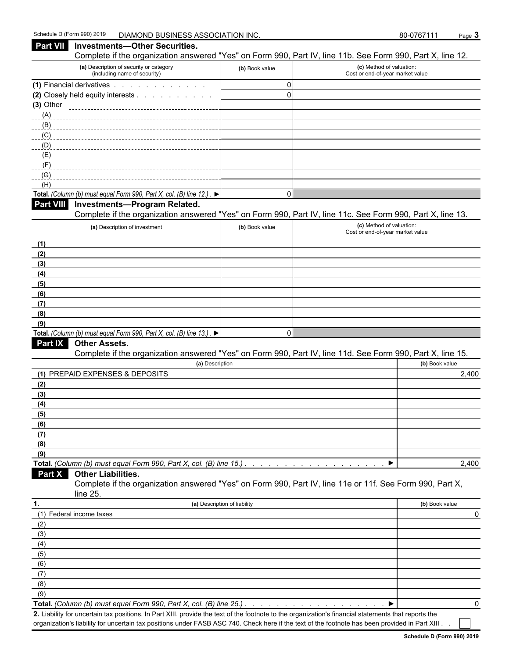| <b>Part VII</b> | <b>Investments-Other Securities.</b>                                                      |                | Complete if the organization answered "Yes" on Form 990, Part IV, line 11b. See Form 990, Part X, line 12. |
|-----------------|-------------------------------------------------------------------------------------------|----------------|------------------------------------------------------------------------------------------------------------|
|                 | (a) Description of security or category<br>(including name of security)                   | (b) Book value | (c) Method of valuation:<br>Cost or end-of-year market value                                               |
|                 | (1) Financial derivatives                                                                 | 0              |                                                                                                            |
|                 | (2) Closely held equity interests                                                         | $\Omega$       |                                                                                                            |
| $(3)$ Other     |                                                                                           |                |                                                                                                            |
| (A)             |                                                                                           |                |                                                                                                            |
| (B)             |                                                                                           |                |                                                                                                            |
| (C)             |                                                                                           |                |                                                                                                            |
| (D)             |                                                                                           |                |                                                                                                            |
| (E)             |                                                                                           |                |                                                                                                            |
| (F)             |                                                                                           |                |                                                                                                            |
| (G)<br>(H)      |                                                                                           |                |                                                                                                            |
|                 | Total. (Column (b) must equal Form 990, Part X, col. (B) line 12.). $\blacktriangleright$ | 0              |                                                                                                            |
|                 | Part VIII Investments-Program Related.                                                    |                |                                                                                                            |
|                 |                                                                                           |                | Complete if the organization answered "Yes" on Form 990, Part IV, line 11c. See Form 990, Part X, line 13. |
|                 | (a) Description of investment                                                             | (b) Book value | (c) Method of valuation:                                                                                   |
|                 |                                                                                           |                | Cost or end-of-year market value                                                                           |
| (1)             |                                                                                           |                |                                                                                                            |
| (2)             |                                                                                           |                |                                                                                                            |
| (3)             |                                                                                           |                |                                                                                                            |
| (4)             |                                                                                           |                |                                                                                                            |
| (5)             |                                                                                           |                |                                                                                                            |
| (6)             |                                                                                           |                |                                                                                                            |
| (7)             |                                                                                           |                |                                                                                                            |
| (8)             |                                                                                           |                |                                                                                                            |
| (9)             |                                                                                           |                |                                                                                                            |
|                 | Total. (Column (b) must equal Form 990, Part X, col. (B) line 13.). $\blacktriangleright$ | 0              |                                                                                                            |
| <b>Part IX</b>  | <b>Other Assets.</b>                                                                      |                | Complete if the organization answered "Yes" on Form 990, Part IV, line 11d. See Form 990, Part X, line 15. |
|                 | (a) Description                                                                           |                | (b) Book value                                                                                             |
|                 | (1) PREPAID EXPENSES & DEPOSITS                                                           |                | 2,400                                                                                                      |
| (2)             |                                                                                           |                |                                                                                                            |
| (3)             |                                                                                           |                |                                                                                                            |
| (4)             |                                                                                           |                |                                                                                                            |
| (5)             |                                                                                           |                |                                                                                                            |
| (6)             |                                                                                           |                |                                                                                                            |
| (7)             |                                                                                           |                |                                                                                                            |
| (8)             |                                                                                           |                |                                                                                                            |
| (9)             |                                                                                           |                |                                                                                                            |
|                 | Total. (Column (b) must equal Form 990, Part X, col. (B) line 15.)                        |                | 2,400<br>▶                                                                                                 |
| Part X          | <b>Other Liabilities.</b>                                                                 |                |                                                                                                            |
|                 |                                                                                           |                | Complete if the organization answered "Yes" on Form 990, Part IV, line 11e or 11f. See Form 990, Part X,   |
|                 | line 25.                                                                                  |                |                                                                                                            |
| 1.              | (a) Description of liability                                                              |                | (b) Book value                                                                                             |
|                 | (1) Federal income taxes                                                                  |                |                                                                                                            |
| (2)             |                                                                                           |                |                                                                                                            |
| (3)             |                                                                                           |                |                                                                                                            |
| (4)             |                                                                                           |                |                                                                                                            |
| (5)             |                                                                                           |                |                                                                                                            |
| (6)             |                                                                                           |                |                                                                                                            |
| (7)             |                                                                                           |                |                                                                                                            |
| (8)             |                                                                                           |                |                                                                                                            |
| (9)             |                                                                                           |                |                                                                                                            |

**Total.** *(Column (b) must equal Form 990, Part X, col. (B) line 25.) . . . . . . . . . . . . . . . . . . . . . . . . . . . . . . . . . . . . . . . . . . . . .* 0

**2.** Liability for uncertain tax positions. In Part XIII, provide the text of the footnote to the organization's financial statements that reports the organization's liability for uncertain tax positions under FASB ASC 740. Check here if the text of the footnote has been provided in Part XIII . .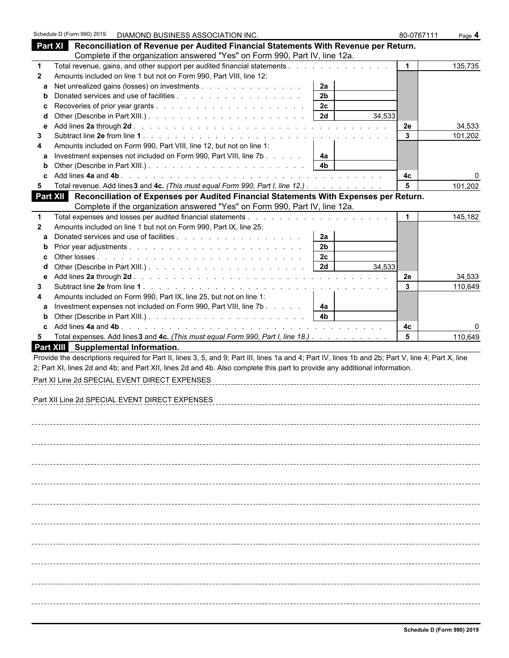|              | Schedule D (Form 990) 2019                     | DIAMOND BUSINESS ASSOCIATION INC.                                    |                                                                             |                                                                                                                                                    | 80-0767111   | Page 4  |
|--------------|------------------------------------------------|----------------------------------------------------------------------|-----------------------------------------------------------------------------|----------------------------------------------------------------------------------------------------------------------------------------------------|--------------|---------|
|              |                                                |                                                                      |                                                                             | Part XI Reconciliation of Revenue per Audited Financial Statements With Revenue per Return.                                                        |              |         |
|              |                                                |                                                                      | Complete if the organization answered "Yes" on Form 990, Part IV, line 12a. |                                                                                                                                                    |              |         |
| $\mathbf 1$  |                                                |                                                                      |                                                                             |                                                                                                                                                    | $\mathbf{1}$ | 135,735 |
| $\mathbf{2}$ |                                                | Amounts included on line 1 but not on Form 990, Part VIII, line 12:  |                                                                             |                                                                                                                                                    |              |         |
| a            |                                                |                                                                      | Net unrealized gains (losses) on investments                                | 2a                                                                                                                                                 |              |         |
| b            |                                                |                                                                      |                                                                             | 2 <sub>b</sub>                                                                                                                                     |              |         |
| c            |                                                |                                                                      |                                                                             | 2c                                                                                                                                                 |              |         |
| d            |                                                |                                                                      |                                                                             | 2d<br>34,533                                                                                                                                       |              |         |
| е            |                                                |                                                                      |                                                                             |                                                                                                                                                    | <b>2e</b>    | 34,533  |
| 3            |                                                |                                                                      |                                                                             |                                                                                                                                                    | 3            | 101,202 |
| 4            |                                                | Amounts included on Form 990, Part VIII, line 12, but not on line 1: |                                                                             |                                                                                                                                                    |              |         |
| a            |                                                |                                                                      | Investment expenses not included on Form 990, Part VIII, line 7b            | 4a<br>4 <sub>b</sub>                                                                                                                               |              |         |
| b            |                                                |                                                                      |                                                                             |                                                                                                                                                    |              |         |
| c.<br>5      |                                                |                                                                      |                                                                             | Total revenue. Add lines 3 and 4c. (This must equal Form 990, Part I, line 12.)                                                                    | 4c<br>5      | 101,202 |
|              | Part XII                                       |                                                                      |                                                                             | Reconciliation of Expenses per Audited Financial Statements With Expenses per Return.                                                              |              |         |
|              |                                                |                                                                      | Complete if the organization answered "Yes" on Form 990, Part IV, line 12a. |                                                                                                                                                    |              |         |
| $\mathbf 1$  |                                                |                                                                      |                                                                             |                                                                                                                                                    |              | 145,182 |
| $\mathbf{2}$ |                                                | Amounts included on line 1 but not on Form 990, Part IX, line 25:    |                                                                             |                                                                                                                                                    |              |         |
| a            |                                                |                                                                      |                                                                             | 2a                                                                                                                                                 |              |         |
| b            |                                                |                                                                      |                                                                             | 2 <sub>b</sub>                                                                                                                                     |              |         |
| c            |                                                |                                                                      |                                                                             | 2c                                                                                                                                                 |              |         |
| d            |                                                |                                                                      |                                                                             | 2d<br>34,533                                                                                                                                       |              |         |
| е            |                                                |                                                                      |                                                                             |                                                                                                                                                    | 2e           | 34,533  |
| 3            |                                                |                                                                      |                                                                             |                                                                                                                                                    | 3            | 110,649 |
| 4            |                                                | Amounts included on Form 990, Part IX, line 25, but not on line 1:   |                                                                             |                                                                                                                                                    |              |         |
| a            |                                                |                                                                      | Investment expenses not included on Form 990, Part VIII, line 7b            | 4a                                                                                                                                                 |              |         |
| b            |                                                |                                                                      |                                                                             | 4 <sub>b</sub>                                                                                                                                     |              |         |
| c.           | Add lines 4a and 4b.                           |                                                                      |                                                                             | and the company of the company of the company of the company of the company of the company of the company of the                                   | 4c           |         |
| 5.           |                                                |                                                                      |                                                                             | Total expenses. Add lines 3 and 4c. (This must equal Form 990, Part I, line 18.)                                                                   | 5            | 110,649 |
|              | Part XIII Supplemental Information.            |                                                                      |                                                                             |                                                                                                                                                    |              |         |
|              |                                                |                                                                      |                                                                             | Provide the descriptions required for Part II, lines 3, 5, and 9; Part III, lines 1a and 4; Part IV, lines 1b and 2b; Part V, line 4; Part X, line |              |         |
|              |                                                |                                                                      |                                                                             | 2; Part XI, lines 2d and 4b; and Part XII, lines 2d and 4b. Also complete this part to provide any additional information.                         |              |         |
|              | Part XI Line 2d SPECIAL EVENT DIRECT EXPENSES  |                                                                      |                                                                             |                                                                                                                                                    |              |         |
|              |                                                |                                                                      |                                                                             |                                                                                                                                                    |              |         |
|              | Part XII Line 2d SPECIAL EVENT DIRECT EXPENSES |                                                                      |                                                                             |                                                                                                                                                    |              |         |
|              |                                                |                                                                      |                                                                             |                                                                                                                                                    |              |         |
|              |                                                |                                                                      |                                                                             |                                                                                                                                                    |              |         |
|              |                                                |                                                                      |                                                                             |                                                                                                                                                    |              |         |
|              |                                                |                                                                      |                                                                             |                                                                                                                                                    |              |         |
|              |                                                |                                                                      |                                                                             |                                                                                                                                                    |              |         |
|              |                                                |                                                                      |                                                                             |                                                                                                                                                    |              |         |
|              |                                                |                                                                      |                                                                             |                                                                                                                                                    |              |         |
|              |                                                |                                                                      |                                                                             |                                                                                                                                                    |              |         |
|              |                                                |                                                                      |                                                                             |                                                                                                                                                    |              |         |
|              |                                                |                                                                      |                                                                             |                                                                                                                                                    |              |         |
|              |                                                |                                                                      |                                                                             |                                                                                                                                                    |              |         |
|              |                                                |                                                                      |                                                                             |                                                                                                                                                    |              |         |
|              |                                                |                                                                      |                                                                             |                                                                                                                                                    |              |         |
|              |                                                |                                                                      |                                                                             |                                                                                                                                                    |              |         |
|              |                                                |                                                                      |                                                                             |                                                                                                                                                    |              |         |
|              |                                                |                                                                      |                                                                             |                                                                                                                                                    |              |         |
|              |                                                |                                                                      |                                                                             |                                                                                                                                                    |              |         |
|              |                                                |                                                                      |                                                                             |                                                                                                                                                    |              |         |
|              |                                                |                                                                      |                                                                             |                                                                                                                                                    |              |         |
|              |                                                |                                                                      |                                                                             |                                                                                                                                                    |              |         |
|              |                                                |                                                                      |                                                                             |                                                                                                                                                    |              |         |
|              |                                                |                                                                      |                                                                             |                                                                                                                                                    |              |         |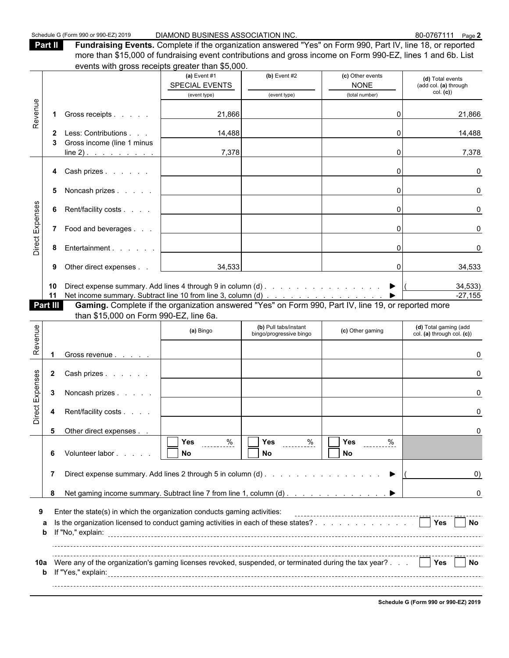**Part II Fundraising Events.** Complete if the organization answered "Yes" on Form 990, Part IV, line 18, or reported more than \$15,000 of fundraising event contributions and gross income on Form 990-EZ, lines 1 and 6b. List events with gross receipts greater than \$5,000.

|                 |              | $\sim$ . $\sim$ . $\sim$ . $\sim$ . $\sim$ . $\sim$ . $\sim$ . $\sim$ . $\sim$ . $\sim$ . $\sim$ . $\sim$ .       |                                                            |                                                  |                                               |                                                     |
|-----------------|--------------|-------------------------------------------------------------------------------------------------------------------|------------------------------------------------------------|--------------------------------------------------|-----------------------------------------------|-----------------------------------------------------|
|                 |              |                                                                                                                   | (a) Event $#1$<br>SPECIAL EVENTS                           | $(b)$ Event #2                                   | (c) Other events<br><b>NONE</b>               | (d) Total events<br>(add col. (a) through           |
|                 |              |                                                                                                                   | (event type)                                               | (event type)                                     | (total number)                                | col. (c)                                            |
|                 |              |                                                                                                                   |                                                            |                                                  |                                               |                                                     |
| Revenue         | 1            | Gross receipts                                                                                                    | 21,866                                                     |                                                  | $\Omega$                                      | 21,866                                              |
|                 | $\mathbf{2}$ | Less: Contributions                                                                                               | 14,488                                                     |                                                  | ΩI                                            | 14,488                                              |
|                 |              | Gross income (line 1 minus                                                                                        |                                                            |                                                  |                                               |                                                     |
|                 |              | $line 2)$ .                                                                                                       | 7,378                                                      |                                                  | $\Omega$                                      | 7,378                                               |
|                 | 4            | Cash prizes                                                                                                       |                                                            |                                                  | $\Omega$                                      | $\Omega$                                            |
|                 | 5            | Noncash prizes                                                                                                    |                                                            |                                                  | 0                                             | 0                                                   |
|                 | 6            | Rent/facility costs                                                                                               |                                                            |                                                  | $\overline{0}$                                | U                                                   |
| Direct Expenses |              | 7 Food and beverages                                                                                              |                                                            |                                                  | $\Omega$                                      |                                                     |
|                 | 8            | Entertainment                                                                                                     |                                                            |                                                  | 01                                            |                                                     |
|                 | 9            | Other direct expenses                                                                                             | 34,533                                                     |                                                  | $\overline{0}$                                | 34,533                                              |
|                 | 10           | Direct expense summary. Add lines 4 through 9 in column (d) $\ldots$ $\ldots$ $\ldots$ $\ldots$ $\ldots$ $\ldots$ |                                                            |                                                  |                                               | 34,533)                                             |
|                 | 11           |                                                                                                                   |                                                            |                                                  |                                               | $-27,155$                                           |
|                 | Part III     |                                                                                                                   |                                                            |                                                  |                                               |                                                     |
|                 |              | than \$15,000 on Form 990-EZ, line 6a.                                                                            |                                                            |                                                  |                                               |                                                     |
| Revenue         |              |                                                                                                                   | (a) Bingo                                                  | (b) Pull tabs/instant<br>bingo/progressive bingo | (c) Other gaming                              | (d) Total gaming (add<br>col. (a) through col. (c)) |
|                 |              |                                                                                                                   |                                                            |                                                  |                                               |                                                     |
|                 |              | Gross revenue                                                                                                     |                                                            |                                                  |                                               |                                                     |
|                 |              |                                                                                                                   |                                                            |                                                  |                                               |                                                     |
|                 | $\mathbf{2}$ | Cash prizes                                                                                                       |                                                            |                                                  |                                               |                                                     |
|                 | 3            | Noncash prizes                                                                                                    |                                                            |                                                  |                                               |                                                     |
| Direct Expenses | 4            | Rent/facility costs                                                                                               |                                                            |                                                  |                                               |                                                     |
|                 | 5            | Other direct expenses                                                                                             |                                                            |                                                  |                                               |                                                     |
|                 | 6            | Volunteer labor                                                                                                   | $\overline{\prod \gamma_{\text{es}}}$<br>$rac{9}{2}$<br>No | $\overline{\Box}$ Yes $\Box$<br>. <u>%</u><br>No | $\overline{\Box Y}$ es<br>$\frac{9}{6}$<br>No |                                                     |
|                 |              |                                                                                                                   |                                                            |                                                  | ▶                                             | $\left( 0\right)$                                   |
|                 |              |                                                                                                                   |                                                            |                                                  |                                               |                                                     |
|                 | 7            |                                                                                                                   |                                                            |                                                  |                                               |                                                     |
|                 | 8            |                                                                                                                   |                                                            |                                                  |                                               | 0                                                   |
| 9               |              | Enter the state(s) in which the organization conducts gaming activities:                                          |                                                            |                                                  |                                               |                                                     |
|                 | a<br>b       | Is the organization licensed to conduct gaming activities in each of these states? $\Box$ Yes                     |                                                            |                                                  |                                               | $\blacksquare$ No                                   |
|                 |              |                                                                                                                   |                                                            |                                                  |                                               |                                                     |

**Schedule G (Form 990 or 990-EZ) 2019**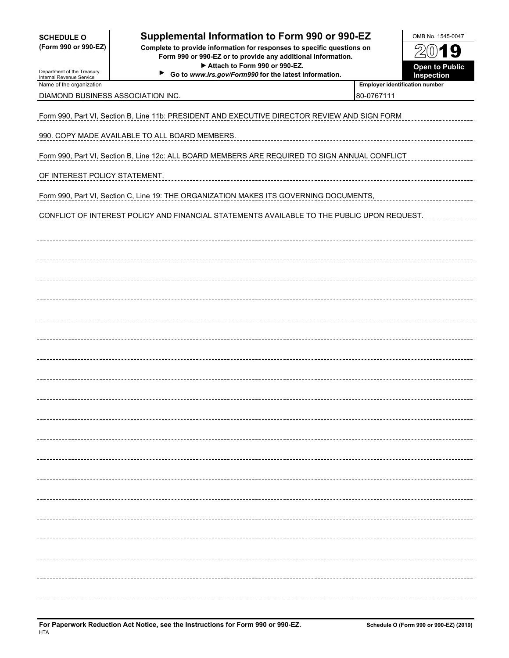| <b>SCHEDULE O</b> |  |                      |
|-------------------|--|----------------------|
|                   |  | (Form 990 or 990-EZ) |

## **Supplemental Information to Form 990 or 990-EZ** | OMB No. 1545-0047

**(Form 990 or 990-EZ) Complete to provide information for responses to specific questions on Form 990 or 990-EZ or to provide any additional information.** ▶ Attach to Form 990 or 990-EZ.  $\blacktriangleright$ 

Go to *www.irs.gov/Form990* for the latest information.

| OMB No. 1545-0047                          |
|--------------------------------------------|
| 2001<br>Ч                                  |
| <b>Open to Public</b><br><b>Inspection</b> |

Department of the Treasury Internal Revenue Service Name of the organization<br> **Name of the organization** 

DIAMOND BUSINESS ASSOCIATION INC.  $\begin{array}{c} \hline \text{80-0767111} \end{array}$ 

Form 990, Part VI, Section B, Line 11b: PRESIDENT AND EXECUTIVE DIRECTOR REVIEW AND SIGN FORM

990. COPY MADE AVAILABLE TO ALL BOARD MEMBERS.

Form 990, Part VI, Section B, Line 12c: ALL BOARD MEMBERS ARE REQUIRED TO SIGN ANNUAL CONFLICT

OF INTEREST POLICY STATEMENT.

Form 990, Part VI, Section C, Line 19: THE ORGANIZATION MAKES ITS GOVERNING DOCUMENTS,

CONFLICT OF INTEREST POLICY AND FINANCIAL STATEMENTS AVAILABLE TO THE PUBLIC UPON REQUEST.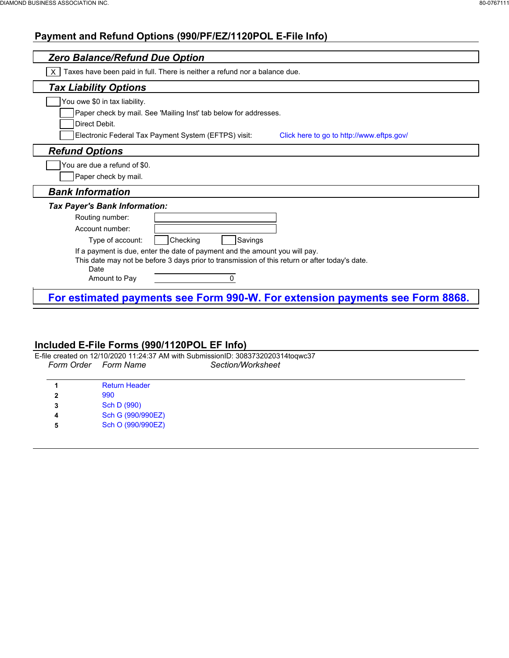#### **Payment and Refund Options (990/PF/EZ/1120POL E-File Info)**

| <b>Zero Balance/Refund Due Option</b>                                                                                                                                                 |                                           |
|---------------------------------------------------------------------------------------------------------------------------------------------------------------------------------------|-------------------------------------------|
| Taxes have been paid in full. There is neither a refund nor a balance due.                                                                                                            |                                           |
| <b>Tax Liability Options</b>                                                                                                                                                          |                                           |
| You owe \$0 in tax liability.                                                                                                                                                         |                                           |
| Paper check by mail. See 'Mailing Inst' tab below for addresses.                                                                                                                      |                                           |
| Direct Debit.                                                                                                                                                                         |                                           |
| Electronic Federal Tax Payment System (EFTPS) visit:                                                                                                                                  | Click here to go to http://www.eftps.gov/ |
| <b>Refund Options</b>                                                                                                                                                                 |                                           |
| You are due a refund of \$0.                                                                                                                                                          |                                           |
| Paper check by mail.                                                                                                                                                                  |                                           |
| <b>Bank Information</b>                                                                                                                                                               |                                           |
| <b>Tax Payer's Bank Information:</b>                                                                                                                                                  |                                           |
| Routing number:                                                                                                                                                                       |                                           |
| Account number:                                                                                                                                                                       |                                           |
| Checking<br>Savings<br>Type of account:                                                                                                                                               |                                           |
| If a payment is due, enter the date of payment and the amount you will pay.<br>This date may not be before 3 days prior to transmission of this return or after today's date.<br>Date |                                           |
| Amount to Pay<br>0                                                                                                                                                                    |                                           |

#### **Included E-File Forms (990/1120POL EF Info)**

E-file created on 12/10/2020 11:24:37 AM with SubmissionID: 3083732020314toqwc37 *Form Order Form Name Section/Worksheet*

| 1. | <b>Return Header</b> |
|----|----------------------|
| 2  | 990                  |
| 3  | Sch D (990)          |
| 4  | Sch G (990/990EZ)    |
| 5  | Sch O (990/990EZ)    |
|    |                      |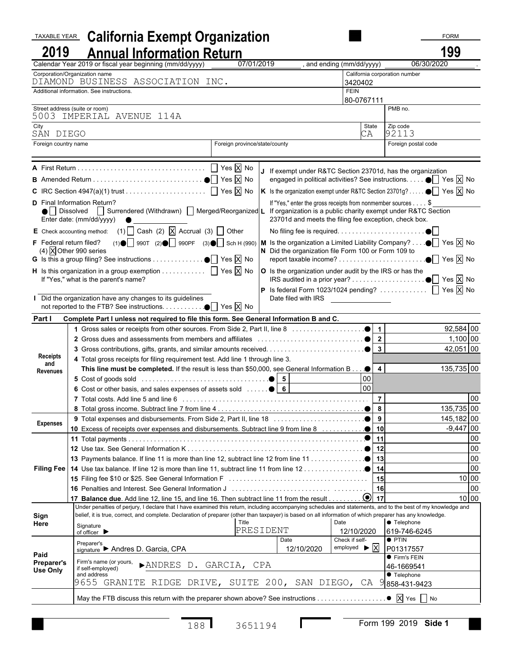#### **TAXABLE YEAR California Exempt Organization FORM Example 2.1 CORM 2019 Annual Information Return 199** Calendar Year 2019 or fiscal year beginning (mm/dd/yyyy) Corporation/Organization name California corporation number DIAMOND BUSINESS ASSOCIATION INC. 3420402 Additional information. See instructions. FEIN 80-0767111 Street address (suite or room) PMB no. 5003 IMPERIAL AVENUE 114A City State Zip code SÁN DIEGO CA 192113 Foreign country name Foreign province/state/county Foreign postal code **<sup>A</sup>** First Return . . . . . . . . . . . . . . . . . . . . . . . . . . . . . . . . . . . . . . . . . . . . . . . . . . . . . . . . . . . . . . . . . . . . . . . . . . . . . . . . . . . . . . . . . . . . . . . . . . . . . . . . . . . . . . . . . . . . Yes X No **<sup>J</sup>** If exempt under R&TC Section 23701d, has the organization **B** Amended Return . . . . . . . . . . . . . . . . . . . . . . . . . . . . . . . . . . . . . . . . . . . . . . . . . . . . . . . . . . . . . . . . . . . . . . . . . . . . . . . . . . . . . . . . . . . . . . . . . . . . . . . . . . . . . . . . . . Yes X No engaged in political activities? See instructions. . . . . . . . . . . . . . . . . . . . . . . . . . . . . . . . . . . . . . . . . . . . . . . . . . . . . . . . . . . . . . . . . . . . . . . . . . . . . . . . . . . . . . . . . . . . . . . . . . Yes X No **C** IRC Section 4947(a)(1) trust . . . . . . . . . . . . . . . . . . . . . . . . . . . . . . . . . . . . . . . . . . . . . . . . . . . . . . . . . . . . . . . . . . . . . . . . . . . . . . . . . . . . . . . . . . . . . . . . . . . . . . . . . . . Yes X No **K** Is the organization exempt under R&TC Section 23701g? . . . . . . . . . . . . . . . . . . . . . . . . . . . . . . . . . . . . . . . . . . . . . . . . . . . . . . . . . . . . . . . . . . . . . . . . . . . . . . . . . . . . . . . . . . . . . . . . Yes X No D Final Information Return? The state of the state of the state of the state of the state of the state of the state of the state of the state of the state of the state of the state of the state of the state of the state of ● Surrendered (Withdrawn) Merged/Reorganized L If organization is a public charity exempt under R&TC Section Enter date: (mm/dd/yyyy) 23701d and meets the filing fee exception, check box. **E** Check accounting method: (1) Cash (2) X Accrual (3) Other No filing fee is required. . . . . . . . . . . . . . . . . . . . . . . . . . . . . . . . . . . . . . . . . . . . . . . . . . . . . . . . . . . . . . . . . . . . . . . . . . . . . . . . . . . . . . . . . . . . . . . . . . . . . . . . . . . . . . F Federal return filed? (1)  $\bigcirc$  990T (2)  $\bigcirc$  990PF (3)  $\bigcirc$  Sch H (990) | M Is the organization a Limited Liability Company? . . .  $\bigcirc$  Yes  $\boxtimes$  No (4)  $\overline{X}$  Other 990 series **N** Did the organization file Form 100 or Form 109 to **G** Is this a group filing? See instructions . . . . . . . . . . . . . . . . . . . . . . . . . . . . . . . . . . . . . . . . . . . . . . . . . . . . . . . . . . . . . . . . . . . . . . . . . . . . . . . . . . . . . . . . . . . . . . . Yes X No report taxable income? . . . . . . . . . . . . . . . . . . . . . . . . . . . . . . . . . . . . . . . . . . . . . . . . . . . . . . . . . . . . . . . . . . . . . . . . . . . . . . . . . . . . . . . . . . . . . . . . . . . . . . . . . . . . . . . . . . Yes X No **H** Is this organization in a group exemption . . . . . . . . . .  $\Box$  Yes  $\overline{X}$  No  $\Box$  o Is the organization under audit by the IRS or has the If "Yes," what is the parent's name?  $\begin{vmatrix} \text{IF } 1 \text{ } \text{IF } 1 \text{ } \text{IF } 1 \text{ } \text{IF } 1 \text{ } \text{IF } 1 \text{ } \text{IF } 1 \text{ } \text{IF } 1 \text{ } \text{IF } 1 \text{ } \text{IF } 1 \text{ } \text{IF } 1 \text{ } \text{IF } 1 \text{ } \text{IF } 1 \text{ } \text{IF } 1 \text{ } \text{IF } 1 \text{ } \text{IF } 1 \text{ } \text{IF } 1 \text{ } \$ **P** Is federal Form 1023/1024 pending? . . . . . . . . . . .  $\Box$  Yes  $\overline{X}$  No **I** Did the organization have any changes to its guidelines Date filed with IRS not reported to the FTB? See instructions. . . . . . . . . . . . . . . . . . . . . . . . . . . . . . . . . . . . . . . . . . . . . . . . . . . . . . . . . . . . . . . . . . . . . . . . . . . . . . . . . . . . . . . . . . . . . . . . . . . . . . Yes X No **Part I Complete Part I unless not required to file this form. See General Information B and C.** 1 Gross sales or receipts from other sources. From Side 2, Part II, line 8  $\ldots \ldots \ldots \ldots \qquad$  1 **2** Gross dues and assessments from members and affiliates . . . . . . . . . . . . . . . . . . . . . . . . . . . . . . . . . . . . . . . . . . . . . . . . . . . . . . . . . . . . . . . . . . . . . . . . . . . . . . . . . . . . . . . . . . . . . . **2** 1,100 00 **Receipts and Revenues 3** Gross contributions, gifts, grants, and similar amounts received. . . . . . . . . . . . . . . . . . . . . . . . . . . . . . . . . . . . . . . . . . . . . . . . . . . . . . . . . . . . . . . . . . . . . . . . . . . . . . . . . **3** 42,051 00 **4** Total gross receipts for filing requirement test. Add line 1 through line 3. This line must be completed. If the result is less than \$50,000, see General Information B...  $\bullet$  | 4 | 135,735 | 00 5 Cost of goods sold  $\ldots \ldots \ldots \ldots \ldots \ldots \ldots \ldots \ldots \qquad | 5 |$ 6 Cost or other basis, and sales expenses of assets sold  $\ldots \cdot \bullet$  6 **7** Total costs. Add line 5 and line 6 . . . . . . . . . . . . . . . . . . . . . . . . . . . . . . . . . . . . . . . . . . . . . . . . . . . . . . . . . . . . . . . . . . . . . . . . . . . . . . . . . . . . . . . . . . . . . . . . . . . . . . . . **7** 00 **8** Total gross income. Subtract line 7 from line 4 . . . . . . . . . . . . . . . . . . . . . . . . . . . . . . . . . . . . . . . . . . . . . . . . . . . . . . . . . . . . . . . . . . . . . . . . . . . . . . . . . . . . . . . . . . . . . . . . . . . **8** 135,735 00 **Expenses <sup>9</sup>** Total expenses and disbursements. From Side 2, Part II, line 18 . . . . . . . . . . . . . . . . . . . . . . . . . . . . . . . . . . . . . . . . . . . . . . . . . . . . . . . . . . . . . . . . . . . . . . . . . . . . . . . . . . . . . . . . . .**<sup>9</sup>** 145,182 <sup>00</sup> 10 Excess of receipts over expenses and disbursements. Subtract line 9 from line 8 **Filing Fee 11** Total payments . . . . . . . . . . . . . . . . . . . . . . . . . . . . . . . . . . . . . . . . . . . . . . . . . . . . . . . . . . . . . . . . . . . . . . . . . . . . . . . . . . . . . . . . . . . . . . . . . . . . . . . . . . . . . . . . . . . **11** 00 12 Use tax. See General Information K  $\ldots$  .  $\ldots$  .  $\ldots$  .  $\ldots$  .  $\ldots$  .  $\ldots$  .  $\ldots$  .  $\bullet$   $\mid$  12  $\mid$  12  $\mid$  100 13 Payments balance. If line 11 is more than line 12, subtract line 12 from line 11  $\ldots$ ,  $\ldots$ ,  $\bullet$  | 13 **14** Use tax balance. If line 12 is more than line 11, subtract line 11 from line 12 . . . . . . . . . . . . . . . . . . . . . . . . . . . . . . . . . . . . . . . . . . . . . . . . . . . . . . . . . . . . . . . . . . . . . . . . . . . . . . . . . . . **14** 00 **15** Filing fee \$10 or \$25. See General Information F . . . . . . . . . . . . . . . . . . . . . . . . . . . . . . . . . . . . . . . . . . . . . . . . . . . . . . . . . . . . . . . . . . . . . . . . . . . . . . . . . . . . . . . . . . . . . . . . . **15** 10 00 **16** Penalties and Interest. See General Information J . . . . . . . . . . . . . . . . . . . . . . . . . . . . . . . . . . . . . . . . . . . . . . . . . . . . . . . . . . . . . . . . . . . . . . . . . . . . . . . . . . . . . . . . . . . . . . . . . . . . . . . . . . . . . . . **16** 00 **17 Balance due**. Add line 12, line 15, and line 16. Then subtract line 11 from the result . . . . . . . . . . . . . . . . . . . . . . . . . . . . . . . . . . . . . . . . . . . . . . . . . . . . . . . . . . . . . . . . . . . . . . . . . . . . . . . . **17** 10 00 **Sign Here** Under penalties of perjury, I declare that I have examined this return, including accompanying schedules and statements, and to the best of my knowledge and belief, it is true, correct, and complete. Declaration of preparer (other than taxpayer) is based on all information of which preparer has any knowledge. **Signature**  of officer Title **The Telephone Date Date Date P** Telephone PRESIDENT | 12/10/2020 619-746-6245 **Paid Preparer's Use Only** Preparer's signature ► Andres D. Garcia, CPA 12/10/2020 employed ► X P01317557 Date Check if self-  $\bullet$  PTIN Firm's name (or yours, if self-employed) and address **Firm's FEIN**  $\blacktriangleright$ ANDRES D. GARCIA, CPA  $|46-1669541$ **Telephone** 9655 GRANITE RIDGE DRIVE, SUITE 200, SAN DIEGO, CA 9858-431-9423 May the FTB discuss this return with the preparer shown above? See instructions . . . . . . . . . . . . . . . . . . . . . . . . . . . . . . . . . . . . . . . . . . . . . . . . . . . . . . . . . . . . . . . . . . . . . . . . . . . . . . . . . . X Yes No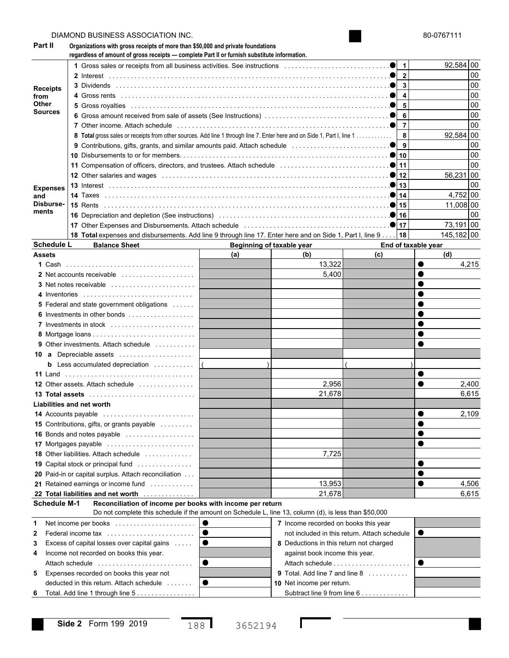|                   | DIAMOND BUSINESS ASSOCIATION INC.                                                                                                                                                         |           |                                         |                                              |                     | 80-0767111 |
|-------------------|-------------------------------------------------------------------------------------------------------------------------------------------------------------------------------------------|-----------|-----------------------------------------|----------------------------------------------|---------------------|------------|
| Part II           | Organizations with gross receipts of more than \$50,000 and private foundations<br>regardless of amount of gross receipts - complete Part II or furnish substitute information.           |           |                                         |                                              |                     |            |
|                   |                                                                                                                                                                                           |           |                                         | $\mathbf{1}$                                 |                     | 92,584 00  |
|                   |                                                                                                                                                                                           |           |                                         | $\mathbf{2}$                                 |                     | 00         |
| <b>Receipts</b>   |                                                                                                                                                                                           |           |                                         | 3                                            |                     | 00         |
| from              |                                                                                                                                                                                           |           |                                         | 4                                            |                     | 00         |
| Other             |                                                                                                                                                                                           |           |                                         | 5                                            |                     | 00         |
| Sources           |                                                                                                                                                                                           |           |                                         | 6                                            |                     | 00         |
|                   |                                                                                                                                                                                           |           |                                         | $\overline{7}$                               |                     | 00         |
|                   | 8 Total gross sales or receipts from other sources. Add line 1 through line 7. Enter here and on Side 1, Part I, line 1                                                                   |           |                                         | 8                                            |                     | 92,584 00  |
|                   | 9 Contributions, gifts, grants, and similar amounts paid. Attach schedule contract contributions, and $\bullet$                                                                           |           |                                         | 9                                            |                     | 00         |
|                   |                                                                                                                                                                                           |           |                                         | 10                                           |                     | 00         |
|                   |                                                                                                                                                                                           |           |                                         | 11                                           |                     | 00         |
|                   |                                                                                                                                                                                           |           |                                         | 12                                           |                     | 56,231 00  |
| <b>Expenses</b>   |                                                                                                                                                                                           |           |                                         | 13                                           |                     | 00         |
| and               |                                                                                                                                                                                           |           |                                         | 14                                           |                     | 4,752 00   |
| Disburse-         |                                                                                                                                                                                           |           |                                         | 15                                           |                     | 11,008 00  |
| ments             |                                                                                                                                                                                           |           |                                         | 16                                           |                     | 00         |
|                   |                                                                                                                                                                                           |           |                                         |                                              |                     | 73,191 00  |
|                   | 18 Total expenses and disbursements. Add line 9 through line 17. Enter here and on Side 1, Part I, line 9                                                                                 |           |                                         | 18                                           |                     | 145,182 00 |
| <b>Schedule L</b> | <b>Balance Sheet</b>                                                                                                                                                                      |           | Beginning of taxable year               |                                              | End of taxable year |            |
| <b>Assets</b>     |                                                                                                                                                                                           | (a)       | (b)                                     | (c)                                          |                     | (d)        |
|                   |                                                                                                                                                                                           |           | 13,322                                  |                                              |                     | 4,215      |
|                   | 2 Net accounts receivable                                                                                                                                                                 |           | 5,400                                   |                                              |                     |            |
|                   |                                                                                                                                                                                           |           |                                         |                                              |                     |            |
|                   | 4 Inventories                                                                                                                                                                             |           |                                         |                                              |                     |            |
|                   | <b>5</b> Federal and state government obligations                                                                                                                                         |           |                                         |                                              |                     |            |
|                   | 6 Investments in other bonds                                                                                                                                                              |           |                                         |                                              |                     |            |
|                   | 7 Investments in stock                                                                                                                                                                    |           |                                         |                                              |                     |            |
|                   |                                                                                                                                                                                           |           |                                         |                                              |                     |            |
|                   | <b>9</b> Other investments. Attach schedule                                                                                                                                               |           |                                         |                                              |                     |            |
|                   | 10 a Depreciable assets                                                                                                                                                                   |           |                                         |                                              |                     |            |
|                   | <b>b</b> Less accumulated depreciation $\ldots \ldots \ldots$                                                                                                                             |           |                                         |                                              |                     |            |
|                   | 11 Land                                                                                                                                                                                   |           |                                         |                                              |                     |            |
|                   | 12 Other assets. Attach schedule                                                                                                                                                          |           | 2,956                                   |                                              |                     | 2,400      |
|                   | 13 Total assets                                                                                                                                                                           |           | 21,678                                  |                                              |                     | 6,615      |
|                   | <b>Liabilities and net worth</b>                                                                                                                                                          |           |                                         |                                              |                     |            |
|                   | 14 Accounts payable                                                                                                                                                                       |           |                                         |                                              |                     | 2,109      |
|                   | <b>15</b> Contributions, gifts, or grants payable                                                                                                                                         |           |                                         |                                              |                     |            |
|                   | 16 Bonds and notes payable                                                                                                                                                                |           |                                         |                                              |                     |            |
|                   | 17 Mortgages payable                                                                                                                                                                      |           |                                         |                                              |                     |            |
|                   | 18 Other liabilities. Attach schedule                                                                                                                                                     |           | 7,725                                   |                                              |                     |            |
|                   | 19 Capital stock or principal fund                                                                                                                                                        |           |                                         |                                              |                     |            |
|                   | 20 Paid-in or capital surplus. Attach reconciliation                                                                                                                                      |           |                                         |                                              |                     |            |
|                   | 21 Retained earnings or income fund                                                                                                                                                       |           | 13,953                                  |                                              |                     | 4,506      |
|                   | 22 Total liabilities and net worth                                                                                                                                                        |           | 21,678                                  |                                              |                     | 6,615      |
|                   | <b>Schedule M-1</b><br>Reconciliation of income per books with income per return<br>Do not complete this schedule if the amount on Schedule L, line 13, column (d), is less than \$50,000 |           |                                         |                                              |                     |            |
|                   | 0                                                                                                                                                                                         |           |                                         |                                              |                     |            |
| 1                 | Net income per books                                                                                                                                                                      |           | 7 Income recorded on books this year    | not included in this return. Attach schedule | o                   |            |
| 2                 | Federal income tax                                                                                                                                                                        |           |                                         |                                              |                     |            |
| 3                 | Excess of capital losses over capital gains                                                                                                                                               |           | 8 Deductions in this return not charged |                                              |                     |            |
| 4                 | Income not recorded on books this year.                                                                                                                                                   |           | against book income this year.          |                                              |                     |            |
|                   | Attach schedule                                                                                                                                                                           |           |                                         | Attach schedule                              | ●                   |            |
| 5                 | Expenses recorded on books this year not                                                                                                                                                  |           | 9 Total. Add line 7 and line 8          |                                              |                     |            |
|                   | deducted in this return. Attach schedule                                                                                                                                                  | $\bullet$ | 10 Net income per return.               |                                              |                     |            |
| 6                 | Total. Add line 1 through line 5                                                                                                                                                          |           |                                         | Subtract line 9 from line 6                  |                     |            |

 $\mathbf l$ 

188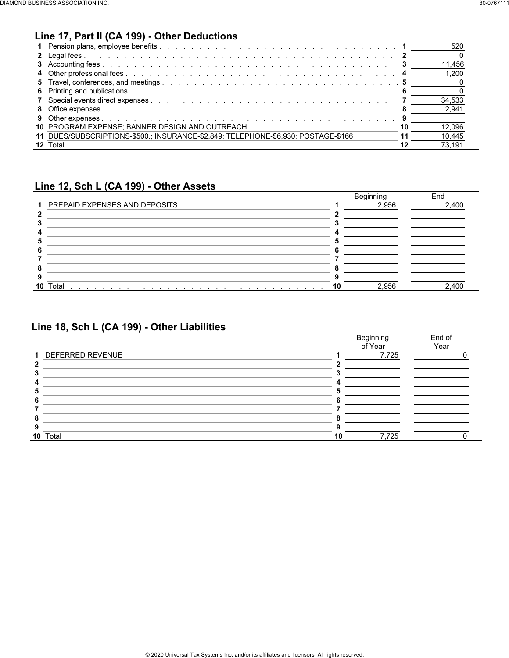#### **Line 17, Part II (CA 199) - Other Deductions**

| 11.456<br>1.200<br>34.533<br>2.941<br>10 PROGRAM EXPENSE: BANNER DESIGN AND OUTREACH<br>12.096<br>11 DUES/SUBSCRIPTIONS-\$500.: INSURANCE-\$2.849: TELEPHONE-\$6.930: POSTAGE-\$166<br>10.445 |  | 520    |
|-----------------------------------------------------------------------------------------------------------------------------------------------------------------------------------------------|--|--------|
|                                                                                                                                                                                               |  |        |
|                                                                                                                                                                                               |  |        |
|                                                                                                                                                                                               |  |        |
|                                                                                                                                                                                               |  |        |
|                                                                                                                                                                                               |  |        |
|                                                                                                                                                                                               |  |        |
|                                                                                                                                                                                               |  |        |
|                                                                                                                                                                                               |  |        |
|                                                                                                                                                                                               |  |        |
|                                                                                                                                                                                               |  |        |
|                                                                                                                                                                                               |  | 73.191 |

#### **Line 12, Sch L (CA 199) - Other Assets**

|    |                                 | Beginning | End   |
|----|---------------------------------|-----------|-------|
|    | 1 PREPAID EXPENSES AND DEPOSITS | 2,956     | 2,400 |
|    |                                 |           |       |
|    |                                 |           |       |
|    |                                 |           |       |
|    |                                 |           |       |
|    |                                 |           |       |
|    |                                 |           |       |
|    |                                 |           |       |
|    |                                 |           |       |
| 10 | Total                           | 2,956     | 2.400 |

#### **Line 18, Sch L (CA 199) - Other Liabilities**

|                    | Beginning<br>of Year | End of<br>Year |
|--------------------|----------------------|----------------|
| 1 DEFERRED REVENUE | 7,725                |                |
|                    |                      |                |
|                    |                      |                |
|                    |                      |                |
|                    |                      |                |
|                    |                      |                |
|                    |                      |                |
|                    |                      |                |
|                    |                      |                |
| 10 Total           | 7,725                |                |